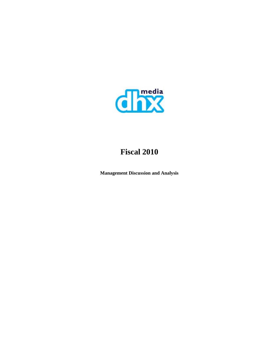

# **Fiscal 2010**

**Management Discussion and Analysis**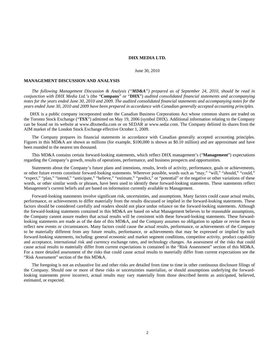## **DHX MEDIA LTD.**

#### June 30, 2010

## **MANAGEMENT DISCUSSION AND ANALYSIS**

*The following Management Discussion & Analysis ("MD&A") prepared as of September 24, 2010, should be read in conjunction with DHX Media Ltd.'s* (the "**Company**" or "**DHX**") *audited consolidated financial statements and accompanying notes for the years ended June 30, 2010 and 2009. The audited consolidated financial statements and accompanying notes for the years ended June 30, 2010 and 2009 have been prepared in accordance with Canadian generally accepted accounting principles.* 

DHX is a public company incorporated under the Canadian Business Corporations Act whose common shares are traded on the Toronto Stock Exchange ("**TSX**") admitted on May 19, 2006 (symbol DHX). Additional information relating to the Company can be found on its website at [www.dhxmedia.com](http://www.dhxmedia.com/) or on SEDAR at [www.sedar.com.](http://www.sedar.com/) The Company delisted its shares from the AIM market of the London Stock Exchange effective October 1, 2009.

The Company prepares its financial statements in accordance with Canadian generally accepted accounting principles. Figures in this MD&A are shown as millions (for example, \$100,000 is shown as \$0.10 million) and are approximate and have been rounded to the nearest ten thousand.

This MD&A contains certain forward-looking statements, which reflect DHX management's ("**Management**") expectations regarding the Company's growth, results of operations, performance, and business prospects and opportunities.

Statements about the Company's future plans and intentions, results, levels of activity, performance, goals or achievements, or other future events constitute forward-looking statements. Wherever possible, words such as "may," "will," "should," "could," "expect," "plan," "intend," "anticipate," "believe," "estimate," "predict," or "potential" or the negative or other variations of these words, or other similar words or phrases, have been used to identify these forward-looking statements. These statements reflect Management's current beliefs and are based on information currently available to Management.

Forward-looking statements involve significant risk, uncertainties, and assumptions. Many factors could cause actual results, performance, or achievements to differ materially from the results discussed or implied in the forward-looking statements. These factors should be considered carefully and readers should not place undue reliance on the forward-looking statements. Although the forward-looking statements contained in this MD&A are based on what Management believes to be reasonable assumptions, the Company cannot assure readers that actual results will be consistent with these forward-looking statements. These forwardlooking statements are made as of the date of this MD&A, and the Company assumes no obligation to update or revise them to reflect new events or circumstances. Many factors could cause the actual results, performance, or achievements of the Company to be materially different from any future results, performance, or achievements that may be expressed or implied by such forward-looking statements, including: general economic and market segment conditions, competitor activity, product capability and acceptance, international risk and currency exchange rates, and technology changes. An assessment of the risks that could cause actual results to materially differ from current expectations is contained in the "Risk Assessment" section of this MD&A. For a more detailed assessment of the risks that could cause actual results to materially differ from current expectations see the "Risk Assessment" section of the this MD&A.

The foregoing is not an exhaustive list and other risks are detailed from time to time in other continuous disclosure filings of the Company. Should one or more of these risks or uncertainties materialize, or should assumptions underlying the forwardlooking statements prove incorrect, actual results may vary materially from those described herein as anticipated, believed, estimated, or expected.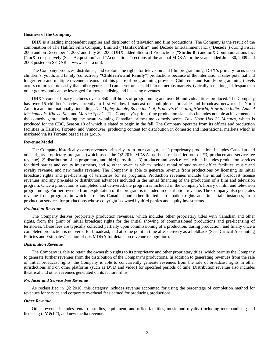#### **Business of the Company**

DHX is a leading independent supplier and distributor of television and film productions. The Company is the result of the combination of The Halifax Film Company Limited ("**Halifax Film**") and Decode Entertainment Inc. ("**Decode**") during Fiscal 2006 and on December 4, 2007 and July 20, 2008 DHX added Studio B Productions ("**Studio B**") and imX Communications Inc. ("**imX**") respectively (See "Acquisition" and "Acquisitions" sections of the annual MD&A for the years ended June 30, 2009 and 2008 posted on SEDAR at www.sedar.com).

The Company produces, distributes, and exploits the rights for television and film programming. DHX's primary focus is on children's, youth, and family (collectively "**Children's and Family**") productions because of the international sales potential and longer-term and multiple revenue streams that this genre of programming provides. Children's and Family programming travels across cultures more easily than other genres and can therefore be sold into numerous markets, typically has a longer lifespan than other genres, and can be leveraged for merchandising and licensing revenues.

DHX's content library includes over 2,350 half-hours of programming and over 60 individual titles produced. The Company has over 15 children's series currently in first window broadcast on multiple major cable and broadcast networks in North America and internationally, including, *The Mighty Jungle, Bo on the Go!, Franny's Feet, dirtgirlworld, How to be Indie, Animal Mechanicals, Kid vs. Kat,* and *Martha Speaks*. The Company's prime-time production slate also includes notable achievements in the comedy genre, including the award-winning Canadian prime-time comedy series *This Hour Has 22 Minutes*, which is produced for the CBC, Season 18 of which is slated to begin in the fall. The Company operates from its offices and production facilities in Halifax, Toronto, and Vancouver, producing content for distribution in domestic and international markets which is marketed via its Toronto based sales group.

#### **Revenue Model**

The Company historically earns revenues primarily from four categories: 1) proprietary production, includes Canadian and other rights proprietary programs (which as of the Q2 2010 MD&A has been reclassified out of #3, producer and service fee revenue), 2) distribution of its proprietary and third party titles, 3) producer and service fees, which includes production services for third parties and equity investments, and 4) other revenues which include rental of studios and office facilities, music and royalty revenue, and new media revenue. The Company is able to generate revenue from productions by licensing its initial broadcast rights and pre-licensing of territories for its programs. Production revenues include the initial broadcast license revenues and any pre-sales or distribution advances included in the initial financing of the production of a film and television program. Once a production is completed and delivered, the program is included in the Company's library of film and television programming. Further revenue from exploitation of the program is included in distribution revenue. The Company also generates revenue from programs in which it retains Canadian and other limited participation rights and, in certain instances, from production services for productions whose copyright is owned by third parties and equity investments.

#### *Production Revenue*

The Company derives proprietary production revenues, which includes other proprietary titles with Canadian and other rights, from the grant of initial broadcast rights for the initial showing of commissioned productions and pre-licensing of territories. These fees are typically collected partially upon commissioning of a production, during production, and finally once a completed production is delivered for broadcast, and at some point in time after delivery as a holdback (See "Critical Accounting Policies and Estimates" section of this MD&A for details on revenue recognition).

#### *Distribution Revenue*

The Company is able to retain the ownership rights to its proprietary and other proprietary titles, which permits the Company to generate further revenues from the distribution of the Company's productions. In addition to generating revenues from the sale of initial broadcast rights, the Company is able to concurrently generate revenues from the sale of broadcast rights in other jurisdictions and on other platforms (such as DVD and video) for specified periods of time. Distribution revenue also includes theatrical and other revenues generated on its feature films.

## *Producer and Service Fee Revenue*

As reclassified in Q2 2010, this category includes revenue accounted for using the percentage of completion method for revenues for service and corporate overhead fees earned for producing productions.

## *Other Revenue*

Other revenue includes rental of studios, equipment, and office facilities, music and royalty (including merchandising and licensing (**"M&L"**), and new media revenue.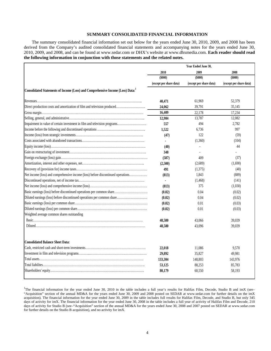## **SUMMARY CONSOLIDATED FINANCIAL INFORMATION**

The summary consolidated financial information set out below for the years ended June 30, 2010, 2009, and 2008 has been derived from the Company's audited consolidated financial statements and accompanying notes for the years ended June 30, 2010, 2009, and 2008, and can be found at www.sedar.com [or DHX's website at www.dhxmedia.com](http://www.dhxmedia.com/). Each reader should read **[the following information in conjunction with those statements and the related notes.](http://www.dhxmedia.com/)** 

|                                                                                  | Year Ended June 30,     |                         |                         |  |  |
|----------------------------------------------------------------------------------|-------------------------|-------------------------|-------------------------|--|--|
|                                                                                  | 2010                    | 2009                    | 2008                    |  |  |
|                                                                                  | $($ \$000 $)$           | (\$000)                 | $(\$000)$               |  |  |
|                                                                                  | (except per share data) | (except per share data) | (except per share data) |  |  |
| Consolidated Statements of Income (Loss) and Comprehensive Income (Loss) Data:   |                         |                         |                         |  |  |
|                                                                                  | 40,471                  | 61,969                  | 52,379                  |  |  |
| Direct production costs and amortization of film and television produced         | 24,062                  | 39,791                  | 35.145                  |  |  |
|                                                                                  | 16,409                  | 22,178                  | 17,234                  |  |  |
|                                                                                  | 12,984                  | 13,787                  | 12,082                  |  |  |
| Impairment in value of certain investment in film and television programs        | 557                     | 494                     | 2,782                   |  |  |
|                                                                                  | 1,522                   | 6,736                   | 997                     |  |  |
|                                                                                  | (47)                    | 122                     | (59)                    |  |  |
|                                                                                  |                         | (1,360)                 | (104)                   |  |  |
|                                                                                  | (40)                    |                         | 44                      |  |  |
|                                                                                  | 348                     |                         |                         |  |  |
|                                                                                  | (587)                   | 409                     | (37)                    |  |  |
|                                                                                  | (2,500)                 | (2,689)                 | (1,690)                 |  |  |
|                                                                                  | 491                     | (1,375)                 | (40)                    |  |  |
| Net income (loss) and comprehensive income (loss) before discontinued operations | (813)                   | 1,843                   | (889)                   |  |  |
|                                                                                  | $\blacksquare$          | (1, 468)                | (141)                   |  |  |
|                                                                                  | (813)                   | 375                     | (1,030)                 |  |  |
| Basic earnings (loss) before discontinued operations per common share            | (0.02)                  | 0.04                    | (0.02)                  |  |  |
| Diluted earnings (loss) before discontinued operations per common share          | (0.02)                  | 0.04                    | (0.02)                  |  |  |
|                                                                                  | (0.02)                  | 0.01                    | (0.03)                  |  |  |
|                                                                                  | (0.02)                  | 0.01                    | (0.03)                  |  |  |
| Weighted average common shares outstanding                                       |                         |                         |                         |  |  |
|                                                                                  | 48,580                  | 43,066                  | 39,039                  |  |  |
|                                                                                  | 48,580                  | 43,096                  | 39,039                  |  |  |
| <b>Consolidated Balance Sheet Data:</b>                                          |                         |                         |                         |  |  |
|                                                                                  | 22,018                  | 11.086                  | 9,570                   |  |  |
|                                                                                  | 29,892                  | 35,827                  | 49,981                  |  |  |
|                                                                                  | 133,304                 | 148,803                 | 143,976                 |  |  |
|                                                                                  | 53,125                  | 88,253                  | 85.783                  |  |  |
|                                                                                  | 80,179                  | 60,550                  | 58.193                  |  |  |
|                                                                                  |                         |                         |                         |  |  |

<sup>1</sup>The financial information for the year ended June 30, 2010 in the table includes a full year's results for Halifax Film, Decode, Studio B and imX (see– "Acquisition" section of the annual MD&A for the years ended June 30, 2009 and 2008 posted on SEDAR at [www.sedar.com](http://www.sedar.com/) for further details on the imX acquisition). The financial information for the year ended June 30, 2009 in the table includes full results for Halifax Film, Decode, and Studio B, but only 345 days of activity for imX. The financial information for the year ended June 30, 2008 in the table includes a full year of activity of Halifax Film and Decode, 210 days of activity for Studio B (see–"Acquisition" section of the annual MD&A for the years ended June 30, 2008 and 2007 posted on SEDAR at [www.sedar.com](http://www.sedar.com/) for further details on the Studio B acquisition), and no activity for imX.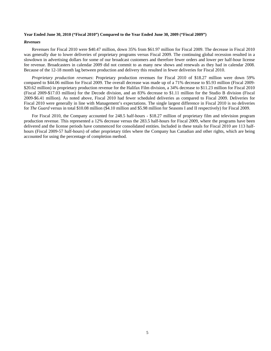## **Year Ended June 30, 2010 ("Fiscal 2010") Compared to the Year Ended June 30, 2009 ("Fiscal 2009")**

## *Revenues*

Revenues for Fiscal 2010 were \$40.47 million, down 35% from \$61.97 million for Fiscal 2009. The decrease in Fiscal 2010 was generally due to lower deliveries of proprietary programs versus Fiscal 2009. The continuing global recession resulted in a slowdown in advertising dollars for some of our broadcast customers and therefore fewer orders and lower per half-hour license fee revenue. Broadcasters in calendar 2009 did not commit to as many new shows and renewals as they had in calendar 2008. Because of the 12-18 month lag between production and delivery this resulted in fewer deliveries for Fiscal 2010.

*Proprietary production revenues*: Proprietary production revenues for Fiscal 2010 of \$18.27 million were down 59% compared to \$44.06 million for Fiscal 2009. The overall decrease was made up of a 71% decrease to \$5.93 million (Fiscal 2009- \$20.62 million) in proprietary production revenue for the Halifax Film division, a 34% decrease to \$11.23 million for Fiscal 2010 (Fiscal 2009-\$17.03 million) for the Decode division, and an 83% decrease to \$1.11 million for the Studio B division (Fiscal 2009-\$6.41 million). As noted above, Fiscal 2010 had fewer scheduled deliveries as compared to Fiscal 2009. Deliveries for Fiscal 2010 were generally in line with Management's expectations. The single largest difference in Fiscal 2010 is no deliveries for *The Guard* versus in total \$10.08 million (\$4.10 million and \$5.98 million for Seasons I and II respectively) for Fiscal 2009.

For Fiscal 2010, the Company accounted for 248.5 half-hours - \$18.27 million of proprietary film and television program production revenue. This represented a 12% decrease versus the 283.5 half-hours for Fiscal 2009, where the programs have been delivered and the license periods have commenced for consolidated entities. Included in these totals for Fiscal 2010 are 113 halfhours (Fiscal 2009-57 half-hours) of other proprietary titles where the Company has Canadian and other rights, which are being accounted for using the percentage of completion method.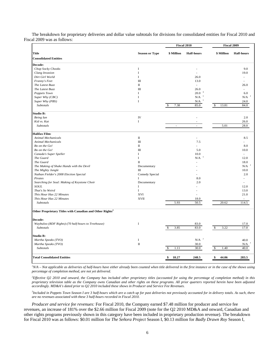The breakdown for proprietary deliveries and dollar value subtotals for divisions for consolidated entities for Fiscal 2010 and Fiscal 2009 was as follows:

|                                                                      |                             |                     | Fiscal 2010                     |                       | <b>Fiscal 2009</b>    |
|----------------------------------------------------------------------|-----------------------------|---------------------|---------------------------------|-----------------------|-----------------------|
| <b>Title</b>                                                         | <b>Season or Type</b>       | \$ Million          | <b>Half-hours</b>               | \$ Million            | <b>Half-hours</b>     |
| <b>Consolidated Entities</b>                                         |                             |                     |                                 |                       |                       |
| Decode:                                                              |                             |                     |                                 |                       |                       |
| Chop Socky Chooks                                                    | $\mathbf I$                 |                     |                                 |                       | 9.0                   |
| Clang Invasion                                                       | $\mathbf I$                 |                     |                                 |                       | 19.0                  |
| Dirt Girl World                                                      | I                           |                     | 26.0                            |                       |                       |
| Franny's Feet                                                        | $\mathbf{I}$                |                     | 13.0                            |                       |                       |
| The Latest Buzz                                                      | $\rm II$                    |                     | ÷,                              |                       | 26.0                  |
| The Latest Buzz                                                      | Ш                           |                     | 26.0                            |                       |                       |
| Poppets Town                                                         | $\mathbf I$                 |                     | 20.0 <sup>3</sup>               |                       | 6.0                   |
| Super Why (CBC)                                                      | $\mathbf{I}$                |                     | N/A                             |                       | $\overline{I}$<br>N/A |
| Super Why (PBS)                                                      | I                           |                     | N/A                             |                       | 24.0                  |
| Subtotals                                                            |                             | 7.38<br>$\mathbf S$ | 85.0                            | 13.81<br>$\mathbb{S}$ | 84.0                  |
| Studio B:                                                            |                             |                     |                                 |                       |                       |
| Being Ian                                                            | IV                          |                     |                                 |                       | 2.0                   |
| Kid vs. Kat                                                          | I                           |                     |                                 |                       | 26.0                  |
| Subtotals                                                            |                             | $\blacksquare$      | $\mathcal{L}$                   | 5.01                  | 28.0                  |
| <b>Halifax Film:</b>                                                 |                             |                     |                                 |                       |                       |
| <b>Animal Mechanicals</b>                                            | $\rm II$                    |                     | L                               |                       | 8.5                   |
| <b>Animal Mechanicals</b>                                            | $\mathop{\rm III}\nolimits$ |                     | 7.5                             |                       |                       |
| Bo on the Go!                                                        | $\rm II$                    |                     |                                 |                       | 8.0                   |
| Bo on the Go!                                                        | $\mathbf{I}$                |                     | 5.0                             |                       | 10.0                  |
| Canada's Super Speller                                               | I                           |                     | 10.0                            |                       |                       |
| The Guard                                                            | I                           |                     | N/A                             |                       | 12.0                  |
| The Guard                                                            | П                           |                     |                                 |                       | 18.0                  |
| The Making of Shake Hands with the Devil                             | Documentary                 |                     |                                 |                       | N/A                   |
|                                                                      | Ш                           |                     |                                 |                       | 10.0                  |
| The Mighty Jungle                                                    |                             |                     |                                 |                       | 2.0                   |
| Nathan Fielder's 2008 Election Special                               | Comedy Special              |                     | 8.0                             |                       |                       |
| Pirates                                                              | I                           |                     |                                 |                       |                       |
| Searching for Soul: Making of Keystone Choir                         | Documentary                 |                     | 2.0                             |                       |                       |
| SOUL                                                                 | I                           |                     |                                 |                       | 12.0                  |
| That's So Weird                                                      | I                           |                     |                                 |                       | 13.0                  |
| This Hour Has 22 Minutes                                             | <b>XVI</b>                  |                     |                                 |                       | 21.0                  |
| This Hour Has 22 Minutes                                             | <b>XVII</b>                 |                     | 18.0                            |                       |                       |
| Subtotals                                                            |                             | 5.93                | 50.5                            | 20.62                 | 114.5                 |
| Other Proprietary Titles with Canadian and Other Rights <sup>2</sup> |                             |                     |                                 |                       |                       |
| Decode:                                                              |                             |                     |                                 |                       |                       |
| Waybuloo (RDF Rights)-(70 half-hours to Treehouse)                   | $\bf I$                     |                     | 83.0                            |                       | 17.0                  |
| Subtotals                                                            |                             | 3.85<br>\$          | 83.0                            | 3.22<br>S             | 17.0                  |
| <b>Studio B:</b>                                                     |                             |                     |                                 |                       |                       |
| Martha Speaks (TVO)                                                  | I                           |                     | $N/A$ <sup><math>I</math></sup> |                       | 40.0                  |
| Martha Speaks (TVO)                                                  | $\rm II$                    |                     | 30.0                            |                       | N/A                   |
| Subtotals                                                            |                             | 1.11<br>\$          | 30.0                            | 1.40<br>\$            | 40.0                  |
| <b>Total Consolidated Entities</b>                                   |                             | 18.27<br>\$         | 248.5                           | 44.06<br>\$           | 283.5                 |
|                                                                      |                             |                     |                                 |                       |                       |

<sup>*IN/A – Not applicable as deliveries of half-hours have either already been counted when title delivered in the first instance or in the case of the shows using</sup> percentage of completion method, are not yet delivered*.

*2 Effective Q2 2010 and onward, the Company has included other proprietary titles (accounted for using the percentage of completion method) in this proprietary television table as the Company owns Canadian and other rights on these programs. All prior quarters reported herein have been adjusted accordingly. MD&A's dated prior to Q2 2010 included these shows in Producer and Service Fee Revenues.* 

*3 Included in Poppets Town Season I are 3 half-hours which are a catch up for past deliveries not previously accounted for in delivery totals. As such, there are no revenues associated with these 3 half-hours recorded in Fiscal 2010.* 

*Producer and service fee revenues:* For Fiscal 2010, the Company earned \$7.48 million for producer and service fee revenues, an increase of 181% over the \$2.66 million for Fiscal 2009 (note for the Q2 2010 MD&A and onward, Canadian and other rights programs previously shown in this category have been included in proprietary production revenue). The breakdown for Fiscal 2010 was as follows: \$0.01 million for *The Señora Project* Season I, \$0.13 million for *Badly Drawn Roy* Season I,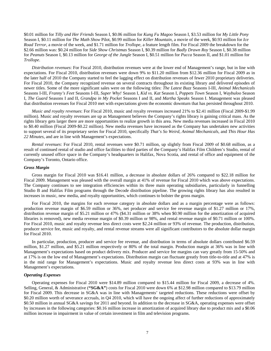\$0.01 million for *Tilly and Her Friends* Season I, \$0.06 million for *Kung Fu Magoo* Season I, \$3.53 million for *My Little Pony* Season I, \$0.11 million for *The Math Show* Pilot, \$0.99 million for *Killer Mountain,* a movie of the week, \$0.93 million for *Ice Road Terror,* a movie of the week, and \$1.71 million for *Trollope,* a feature length film. For Fiscal 2009 the breakdown for the \$2.66 million was: \$0.24 million for *Side Show Christmas* Season I, \$0.39 million for *Badly Drawn Roy* Season I, \$0.38 million for *Peanuts* Season I, \$0.13 million for *George of the Jungle* Season I, \$0.51 million for *Pucca* Season II, and \$1.01 million for *Trollope*.

*Distribution revenues*: For Fiscal 2010, distribution revenues were at the lower end of Management's range, but in line with expectations. For Fiscal 2010, distribution revenues were down 9% to \$11.20 million from \$12.36 million for Fiscal 2009 as in the later half of 2010 the Company started to feel the lagging effect on distribution revenues of fewer 2010 proprietary deliveries. For Fiscal 2010, the Company recognized revenue on several contracts throughout its existing library and delivered episodes of newer titles. Some of the more significant sales were on the following titles: *The Latest Buzz* Seasons I-III, *Animal Mechanicals* Seasons I-III, *Franny's Feet* Seasons I-III, *Super Why!* Season I, *Kid vs. Kat* Season I, *Poppets Town* Season I, *Waybuloo* Season I, *The Guard* Seasons I and II, *Grandpa in My Pocket* Seasons I and II, and *Martha Speaks* Season I. Management was pleased that distribution revenues for Fiscal 2010 met with expectations given the economic downturn that has persisted throughout 2010.

*Music and royalty revenues*: For Fiscal 2010, music and royalty revenues increased 21% to \$2.41 million (Fiscal 2009-\$1.99 million). Music and royalty revenues are up as Management believes the Company's rights library is gaining critical mass. As the rights library gets larger there are more opportunities to realize growth in this area. New media revenues increased in Fiscal 2010 to \$0.40 million (Fiscal 2009-\$0.22 million). New media revenues have increased as the Company has undertaken new activities to support several of its proprietary series for Fiscal 2010, specifically *That's So Weird, Animal Mechanicals*, and *This Hour Has 22 Minutes*, and are in line with Management's expectations.

*Rental revenues*: For Fiscal 2010, rental revenues were \$0.71 million, up slightly from Fiscal 2009 of \$0.68 million, as a result of continued rental of studio and office facilities to third parties of the Company's Halifax Film Children's Studio, rental of currently unused office space in the Company's headquarters in Halifax, Nova Scotia, and rental of office and equipment of the Company's Toronto, Ontario office.

## *Gross Margin*

Gross margin for Fiscal 2010 was \$16.41 million, a decrease in absolute dollars of 26% compared to \$22.18 million for Fiscal 2009. Management was pleased with the overall margin at 41% of revenue for Fiscal 2010 which was above expectations. The Company continues to see integration efficiencies within its three main operating subsidiaries, particularly in funnelling Studio B and Halifax Film programs through the Decode distribution pipeline. The growing rights library has also resulted in increases in music, new media, and royalty opportunities, which continues to bolster the gross margin.

For Fiscal 2010, the margins for each revenue category in absolute dollars and as a margin percentage were as follows: production revenue margin of \$6.59 million or 36%, net producer and service fee revenue margin of \$1.27 million or 17%, distribution revenue margin of \$5.21 million or 47% (\$4.31 million or 38% when \$0.90 million for the amortization of acquired libraries is removed), new media revenue margin of \$0.39 million or 98%, and rental revenue margin of \$0.71 million or 100%. For Fiscal 2010, music and royalty revenue less direct costs were \$2.24 million or 93% of revenue. The production, distribution, producer service fee, music and royalty, and rental revenue streams were all significant contributors to the absolute dollar margin for Fiscal 2010.

In particular, production, producer and service fee revenue, and distribution in terms of absolute dollars contributed \$6.59 million, \$1.27 million, and \$5.21 million respectively or 80% of the total margin. Production margin at 36% was in line with Management's expectations based on product delivery mix. Producer and service fee margins can vary greatly from 15-50% and at 17% is on the low end of Management's expectations. Distribution margin can fluctuate greatly from title-to-title and at 47% is in the mid range for Management's expectations. Music and royalty revenue less direct costs at 93% was in line with Management's expectations.

# *Operating Expenses*

Operating expenses for Fiscal 2010 were \$14.89 million compared to \$15.44 million for Fiscal 2009, a decrease of 4%. Selling, General, & Administrative (**"SG&A"**) costs for Fiscal 2010 were down 6% at \$12.98 million compared to \$13.79 million for Fiscal 2009. This decrease in SG&A was in line with Managements' targeted reductions. These reductions were offset by \$0.20 million worth of severance accruals, in Q4 2010, which will have the ongoing affect of further reductions of approximately \$0.50 million in annual SG&A savings for 2011 and beyond. In addition to the decrease in SG&A, operating expenses were offset by increases in the following categories: \$0.16 million increase in amortization of acquired library due to product mix and a \$0.06 million increase in impairment in value of certain investment in film and television programs.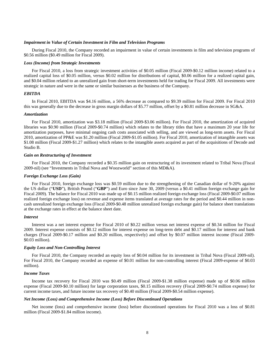#### *Impairment in Value of Certain Investment in Film and Television Programs*

During Fiscal 2010, the Company recorded an impairment in value of certain investments in film and television programs of \$0.56 million (\$0.49 million for Fiscal 2009).

## *Loss (Income) from Strategic Investments*

For Fiscal 2010, a loss from strategic investment activities of \$0.05 million (Fiscal 2009-\$0.12 million income) related to a realized capital loss of \$0.05 million, versus \$0.02 million for distributions of capital, \$0.06 million for a realized capital gain, and \$0.04 million related to an unrealized gain from short-term investments held for trading for Fiscal 2009. All investments were strategic in nature and were in the same or similar businesses as the business of the Company.

#### *EBITDA*

In Fiscal 2010, EBITDA was \$4.16 million, a 56% decrease as compared to \$9.39 million for Fiscal 2009. For Fiscal 2010 this was generally due to the decrease in gross margin dollars of \$5.77 million, offset by a \$0.81 million decrease in SG&A.

#### *Amortization*

For Fiscal 2010, amortization was \$3.18 million (Fiscal 2009-\$3.06 million). For Fiscal 2010, the amortization of acquired libraries was \$0.90 million (Fiscal 2009-\$0.74 million) which relates to the library titles that have a maximum 20 year life for amortization purposes, have minimal ongoing cash costs associated with selling, and are viewed as long-term assets. For Fiscal 2010, amortization of PP&E was \$1.20 million (Fiscal 2009-\$1.05 million). For Fiscal 2010, amortization of intangible assets was \$1.08 million (Fiscal 2009-\$1.27 million) which relates to the intangible assets acquired as part of the acquisitions of Decode and Studio B.

#### *Gain on Restructuring of Investment*

For Fiscal 2010, the Company recorded a \$0.35 million gain on restructuring of its investment related to Tribal Nova (Fiscal 2009-nil) (see "Investments in Tribal Nova and Woozworld" section of this MD&A).

## *Foreign Exchange Loss (Gain)*

For Fiscal 2010, foreign exchange loss was \$0.59 million due to the strengthening of the Canadian dollar of 9-20% against the US dollar ("**USD**"), British Pound ("**GBP**") and Euro since June 30, 2009 (versus a \$0.41 million foreign exchange gain for Fiscal 2009). The balance for Fiscal 2010 was made up of \$0.15 million realized foreign exchange loss (Fiscal 2009-\$0.07 million realized foreign exchange loss) on revenue and expense items translated at average rates for the period and \$0.44 million in noncash unrealized foreign exchange loss (Fiscal 2009-\$0.48 million unrealized foreign exchange gain) for balance sheet translations at the exchange rates in effect at the balance sheet date.

#### *Interest*

Interest was a net interest expense for Fiscal 2010 of \$0.22 million versus net interest expense of \$0.34 million for Fiscal 2009. Interest expense consists of \$0.12 million for interest expense on long-term debt and \$0.17 million for interest and bank charges (Fiscal 2009-\$0.17 million and \$0.20 million, respectively) and offset by \$0.07 million interest income (Fiscal 2009- \$0.03 million).

## *Equity Loss and Non-Controlling Interest*

For Fiscal 2010, the Company recorded an equity loss of \$0.04 million for its investment in Tribal Nova (Fiscal 2009-nil). For Fiscal 2010, the Company recorded an expense of \$0.01 million for non-controlling interest (Fiscal 2009-expense of \$0.03 million).

## *Income Taxes*

Income tax recovery for Fiscal 2010 was \$0.49 million (Fiscal 2009-\$1.38 million expense) made up of \$0.06 million expense (Fiscal 2009-\$0.10 million) for large corporation taxes, \$0.15 million recovery (Fiscal 2009-\$0.74 million expense) for current income taxes, and future income tax recovery of \$0.40 million (Fiscal 2009-\$0.54 million expense).

#### *Net Income (Loss) and Comprehensive Income (Loss) Before Discontinued Operations*

Net income (loss) and comprehensive income (loss) before discontinued operations for Fiscal 2010 was a loss of \$0.81 million (Fiscal 2009-\$1.84 million income).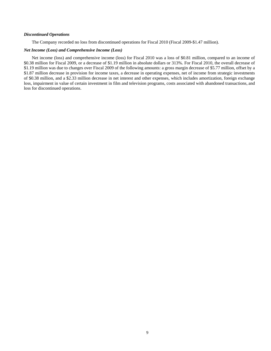## *Discontinued Operations*

The Company recorded no loss from discontinued operations for Fiscal 2010 (Fiscal 2009-\$1.47 million).

#### *Net Income (Loss) and Comprehensive Income (Loss)*

Net income (loss) and comprehensive income (loss) for Fiscal 2010 was a loss of \$0.81 million, compared to an income of \$0.38 million for Fiscal 2009, or a decrease of \$1.19 million in absolute dollars or 313%. For Fiscal 2010, the overall decrease of \$1.19 million was due to changes over Fiscal 2009 of the following amounts: a gross margin decrease of \$5.77 million, offset by a \$1.87 million decrease in provision for income taxes, a decrease in operating expenses, net of income from strategic investments of \$0.38 million, and a \$2.33 million decrease in net interest and other expenses, which includes amortization, foreign exchange loss, impairment in value of certain investment in film and television programs, costs associated with abandoned transactions, and loss for discontinued operations.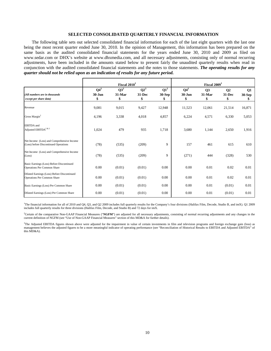## **SELECTED CONSOLIDATED QUARTERLY FINANCIAL INFORMATION**

The following table sets out selected consolidated financial information for each of the last eight quarters with the last one being the most recent quarter ended June 30, 2010. In the opinion of Management, this information has been prepared on the same basis as the audited consolidated financial statements for the years ended June 30, 2010 and 2009 as filed on www.sedar.com [or DHX's website at www.dhxmedia.com,](http://www.dhxmedia.com/) and all necessary adjustments, consisting only of normal recurring adjustments, have been included in the amounts stated below to present fairly the unaudited quarterly results when read in conjunction with the audited consolidated financial statements and the notes to those statements. *The operating results for any quarter should not be relied upon as an indication of results for any future period.* 

|                                                                                     |                            | Fiscal 2010 <sup>1</sup> |                        |                                   | Fiscal $20091$             |                      |                              |                      |
|-------------------------------------------------------------------------------------|----------------------------|--------------------------|------------------------|-----------------------------------|----------------------------|----------------------|------------------------------|----------------------|
| (All numbers are in thousands<br>except per share data)                             | $Q4^3$<br>$30 - Jun$<br>\$ | $Q3^3$<br>$31-Mar$<br>\$ | $Q2^3$<br>31-Dec<br>\$ | $\mathbf{Q1}^3$<br>$30-Sep$<br>\$ | $Q4^3$<br>$30 - Jun$<br>\$ | Q3<br>$31-Mar$<br>\$ | $\mathbf{Q}$<br>31-Dec<br>\$ | Q1<br>$30-Sep$<br>\$ |
| Revenue                                                                             | 9,081                      | 9,015                    | 9,427                  | 12,948                            | 11,523                     | 12,061               | 21,514                       | 16,871               |
| Gross Margin <sup>2</sup>                                                           | 4,196                      | 3,338                    | 4,018                  | 4,857                             | 6,224                      | 4,571                | 6,330                        | 5,053                |
| <b>EBITDA</b> and<br>Adjusted $\text{EBITDA}^{2 \text{ \& } 3}$                     | 1,024                      | 479                      | 935                    | 1,718                             | 3,680                      | 1,144                | 2,650                        | 1,916                |
| Net Income (Loss) and Comprehensive Income<br>(Loss) before Discontinued Operations | (78)                       | (535)                    | (209)                  | 9                                 | 157                        | 461                  | 615                          | 610                  |
| Net Income (Loss) and Comprehensive Income<br>(Loss)                                | (78)                       | (535)                    | (209)                  | 9                                 | (271)                      | 444                  | (328)                        | 530                  |
| Basic Earnings (Loss) Before Discontinued<br>Operations Per Common Share            | 0.00                       | (0.01)                   | (0.01)                 | 0.00                              | 0.00                       | 0.01                 | 0.02                         | 0.01                 |
| Diluted Earnings (Loss) Before Discontinued<br>Operations Per Common Share          | 0.00                       | (0.01)                   | (0.01)                 | 0.00                              | 0.00                       | 0.01                 | 0.02                         | 0.01                 |
| Basic Earnings (Loss) Per Common Share                                              | 0.00                       | (0.01)                   | (0.01)                 | 0.00                              | 0.00                       | 0.01                 | (0.01)                       | 0.01                 |
| Diluted Earnings (Loss) Per Common Share                                            | 0.00                       | (0.01)                   | (0.01)                 | 0.00                              | 0.00                       | 0.01                 | (0.01)                       | 0.01                 |

<sup>1</sup>The financial information for all of 2010 and Q4, Q3, and Q2 2009 includes full quarterly results for the Company's four divisions (Halifax Film, Decode, Studio B, and imX). Q1 2009 includes full quarterly results for three divisions (Halifax Film, Decode, and Studio B) and 72 days for imX.

<sup>2</sup>Certain of the comparative Non-GAAP Financial Measures ("NGFM") are adjusted for all necessary adjustments, consisting of normal recurring adjustments and any changes in the current definition of NGFM (see "Use of Non-GAAP Financial Measures" section of this MD&A for further details).

<sup>3</sup>The Adjusted EBITDA figures shown above were adjusted for the impairment in value of certain investments in film and television programs and foreign exchange gain (loss) as management believes the adjusted figures to be a more meaningful indicator of operating performance (see "Reconciliation of Historical Results to EBITDA and Adjusted EBITDA" of this MD&A).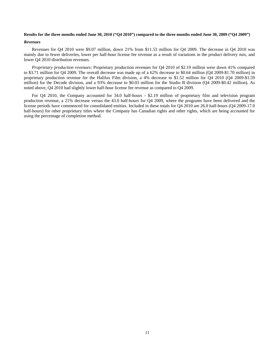# **Results for the three months ended June 30, 2010 ("Q4 2010") compared to the three months ended June 30, 2009 ("Q4 2009")**

## *Revenues*

Revenues for Q4 2010 were \$9.07 million, down 21% from \$11.53 million for Q4 2009. The decrease in Q4 2010 was mainly due to fewer deliveries, lower per half-hour license fee revenue as a result of variations in the product delivery mix, and lower Q4 2010 distribution revenues.

*Proprietary production revenues*: Proprietary production revenues for Q4 2010 of \$2.19 million were down 41% compared to \$3.71 million for Q4 2009. The overall decrease was made up of a 62% decrease to \$0.64 million (Q4 2009-\$1.70 million) in proprietary production revenue for the Halifax Film division, a 4% decrease to \$1.52 million for Q4 2010 (Q4 2009-\$1.59 million) for the Decode division, and a 93% decrease to \$0.03 million for the Studio B division (Q4 2009-\$0.42 million). As noted above, Q4 2010 had slightly lower half-hour license fee revenue as compared to Q4 2009.

For Q4 2010, the Company accounted for 34.0 half-hours - \$2.19 million of proprietary film and television program production revenue, a 21% decrease versus the 43.0 half-hours for Q4 2009, where the programs have been delivered and the license periods have commenced for consolidated entities. Included in these totals for Q4 2010 are 26.0 half-hours (Q4 2009-17.0) half-hours) for other proprietary titles where the Company has Canadian rights and other rights, which are being accounted for using the percentage of completion method.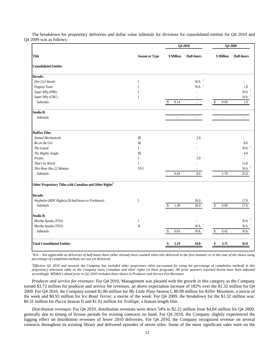The breakdown for proprietary deliveries and dollar value subtotals for divisions for consolidated entities for Q4 2010 and Q4 2009 was as follows:

|                                                                      |                        |                      | Q4 2010                         |                          | Q4 2009                         |
|----------------------------------------------------------------------|------------------------|----------------------|---------------------------------|--------------------------|---------------------------------|
| <b>Title</b>                                                         | <b>Season or Type</b>  | \$ Million           | <b>Half-hours</b>               | \$ Million               | <b>Half-hours</b>               |
| <b>Consolidated Entities</b>                                         |                        |                      |                                 |                          |                                 |
| Decode:                                                              |                        |                      |                                 |                          |                                 |
| Dirt Girl World                                                      | $\rm I$                |                      | $N/A$ <sup><math>1</math></sup> |                          |                                 |
| Poppets Town                                                         | $\mathbf{I}$           |                      | $N/A$ <sup><math>1</math></sup> |                          | 1.0                             |
| Super Why (PBS)                                                      | I                      |                      |                                 |                          | $N/A$ <sup><math>1</math></sup> |
| Super Why (CBC)                                                      | $\rm I$                |                      |                                 |                          | $\boldsymbol{l}$<br>N/A         |
| Subtotals                                                            |                        | 0.14<br>s.           |                                 | 0.69<br>\$.              | 1.0                             |
| <b>Studio B:</b>                                                     |                        |                      |                                 |                          |                                 |
| Subtotals                                                            |                        | $\blacksquare$       | ÷.                              | $\overline{\phantom{a}}$ |                                 |
| <b>Halifax Film:</b>                                                 |                        |                      |                                 |                          |                                 |
| <b>Animal Mechanicals</b>                                            | $\rm III$              |                      | 5.0                             |                          |                                 |
| Bo on the Go!                                                        | $\rm III$              |                      |                                 |                          | 8.0                             |
| The Guard                                                            | Ι                      |                      |                                 |                          | $\mbox{N/A}^{-1}$               |
| The Mighty Jungle                                                    | $\rm III$              |                      |                                 |                          | 4.0                             |
| Pirates                                                              | $\bf{I}$               |                      | 3.0                             |                          |                                 |
| That's So Weird                                                      | I                      |                      |                                 |                          | 13.0                            |
| This Hour Has 22 Minutes                                             | XVI                    |                      | ٠                               |                          | $N/A$ <sup><math>1</math></sup> |
| <b>Subtotals</b>                                                     |                        | 0.64                 | 8.0                             | 1.70                     | 25.0                            |
| Other Proprietary Titles with Canadian and Other Rights <sup>2</sup> |                        |                      |                                 |                          |                                 |
| Decode:                                                              |                        |                      |                                 |                          |                                 |
| Waybuloo (RDF Rights)-(30 half-hours to Treehouse)                   | $\rm I$                |                      | 26.0                            |                          | 17.0                            |
| Subtotals                                                            |                        | 1.38<br>$\mathbb{S}$ | 26.0                            | 0.90<br>$\mathbb{S}$     | 17.0                            |
| <b>Studio B:</b>                                                     |                        |                      |                                 |                          |                                 |
| Martha Speaks (TVO)                                                  | $\bf{I}$               |                      |                                 |                          | $\mbox{N/A}^{-1}$               |
| Martha Speaks (TVO)                                                  | $\rm I\hspace{-.1em}I$ |                      | - 1<br>$\rm N/A$                |                          | $N/A$ <sup><math>1</math></sup> |
| Subtotals                                                            |                        | 0.03<br>\$           | N/A                             | 0.42<br>S                | N/A                             |
| <b>Total Consolidated Entities</b>                                   |                        | 2.19                 | 34.0                            | 3.71<br>\$               | 43.0                            |

<sup>*IN/A – Not applicable as deliveries of half-hours have either already been counted when title delivered in the first instance or in the case of the shows using</sup> percentage of completion method, are not yet delivered*.

*2 Effective Q2 2010 and onward, the Company has included other proprietary titles (accounted for using the percentage of completion method) in this proprietary television table as the Company owns Canadian and other rights on these programs. All prior quarters reported herein have been adjusted accordingly. MD&A's dated prior to Q2 2010 included these shows in Producer and Service Fee Revenues.* 

*Producer and service fee revenues:* For Q4 2010, Management was pleased with the growth in this category as the Company earned \$3.72 million for producer and service fee revenues, an above expectation increase of 182% over the \$1.32 million for Q4 2009. For Q4 2010, the Company earned \$1.80 million for *My Little Pony* Season I, \$0.99 million for *Killer Mountain*, a movie of the week and \$0.93 million for *Ice Road Terror*, a movie of the week. For Q4 2009, the breakdown for the \$1.32 million was: \$0.31 million for *Pucca* Season II and \$1.01 million for *Trollope,* a feature length film.

*Distribution revenues*: For Q4 2010, distribution revenues were down 54% to \$2.22 million from \$4.84 million for Q4 2009, generally due to timing of license periods for existing contracts on hand. For Q4 2010, the Company slightly experienced the lagging effect on distribution revenues of fewer 2010 deliveries. For Q4 2010, the Company recognized revenue on several contracts throughout its existing library and delivered episodes of newer titles. Some of the more significant sales were on the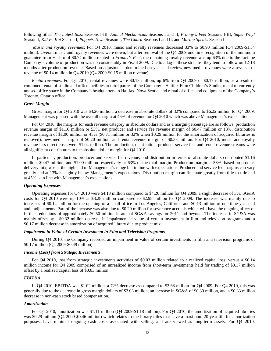following titles: *The Latest Buzz* Seasons I-III, *Animal Mechanicals* Seasons I and II, *Franny's Feet* Seasons I-III, *Super Why!* Season I, *Kid vs. Kat* Season I, *Poppets Town* Season I, *The Guard* Seasons I and II, and *Martha Speaks* Season I.

*Music and royalty revenues*: For Q4 2010, music and royalty revenues decreased 33% to \$0.90 million (Q4 2009-\$1.34 million). Overall music and royalty revenues were down, but after removal of the Q4 2009 one time recognition of the minimum guarantee from Hasbro of \$0.74 million related to *Franny's Feet*, the remaining royalty revenue was up 63% due to the fact the Company's volume of production was up considerably in Fiscal 2009. Due to a lag in these streams, they tend to follow on 12-18 months after production revenue. Based on adjustments determined on year end review new media revenues were a reversal of revenue of \$0.14 million in Q4 2010 (Q4 2009-\$0.15 million revenue).

*Rental revenues*: For Q4 2010, rental revenues were \$0.18 million, up 6% from Q4 2009 of \$0.17 million, as a result of continued rental of studio and office facilities to third parties of the Company's Halifax Film Children's Studio, rental of currently unused office space in the Company's headquarters in Halifax, Nova Scotia, and rental of office and equipment of the Company's Toronto, Ontario office.

## *Gross Margin*

Gross margin for Q4 2010 was \$4.20 million, a decrease in absolute dollars of 32% compared to \$6.22 million for Q4 2009. Management was pleased with the overall margin at 46% of revenue for Q4 2010 which was above Management's expectations.

For Q4 2010, the margins for each revenue category in absolute dollars and as a margin percentage are as follows: production revenue margin of \$1.16 million or 53%, net producer and service fee revenue margin of \$0.47 million or 13%, distribution revenue margin of \$1.00 million or 45% (\$0.71 million or 32% when \$0.29 million for the amortization of acquired libraries is removed), new media margin of \$0.20 million, and rental revenue margin of \$0.33 million. For Q4 2010, music and royalty revenue less direct costs were \$1.04 million. The production, distribution, producer service fee, and rental revenue streams were all significant contributors to the absolute dollar margin for Q4 2010.

In particular, production, producer and service fee revenue, and distribution in terms of absolute dollars contributed \$1.16 million, \$0.47 million, and \$1.00 million respectively or 63% of the total margin. Production margin at 53%, based on product delivery mix, was at the high end of Management's range but in line with expectations. Producer and service fee margins can vary greatly and at 13% is slightly below Management's expectations. Distribution margin can fluctuate greatly from title-to-title and at 45% is in line with Management's expectations.

### *Operating Expenses*

Operating expenses for Q4 2010 were \$4.13 million compared to \$4.26 million for Q4 2009, a slight decrease of 3%. SG&A costs for Q4 2010 were up 10% at \$3.28 million compared to \$2.98 million for Q4 2009. The increase was mainly due to increases of \$0.14 million for the opening of a small office in Los Angeles, California and \$0.13 million of one time year end audit adjustments. Part of the increase was also due to \$0.20 million for severance accruals which will have the ongoing affect of further reductions of approximately \$0.50 million in annual SG&A savings for 2011 and beyond. The increase in SG&A was mainly offset by a \$0.32 million decrease in impairment in value of certain investment in film and television programs and a \$0.17 million decrease in amortization of acquired library due to product mix.

## *Impairment in Value of Certain Investment in Film and Television Programs*

During Q4 2010, the Company recorded an impairment in value of certain investments in film and television programs of \$0.17 million (Q4 2009-\$0.49 million).

## *Income (Loss) from Strategic Investments*

For Q4 2010, loss from strategic investments activities of \$0.03 million related to a realized capital loss, versus a \$0.14 million income for Q4 2009 comprised of an unrealized income from short-term investments held for trading of \$0.17 million offset by a realized capital loss of \$0.03 million.

## *EBITDA*

In Q4 2010, EBITDA was \$1.02 million, a 72% decrease as compared to \$3.68 million for Q4 2009. For Q4 2010, this was generally due to the decrease in gross margin dollars of \$2.03 million, an increase in SG&A of \$0.30 million, and a \$0.33 million decrease in non-cash stock based compensation.

#### *Amortization*

For Q4 2010, amortization was \$1.11 million (Q4 2009-\$1.18 million). For Q4 2010, the amortization of acquired libraries was \$0.29 million (Q4 2009-\$0.46 million) which relates to the library titles that have a maximum 20 year life for amortization purposes, have minimal ongoing cash costs associated with selling, and are viewed as long-term assets. For Q4 2010,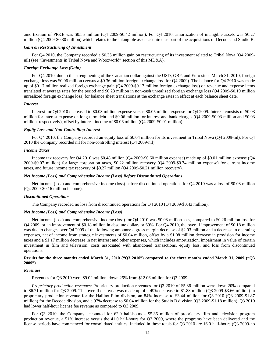amortization of PP&E was \$0.55 million (Q4 2009-\$0.42 million). For Q4 2010, amortization of intangible assets was \$0.27 million (Q4 2009-\$0.30 million) which relates to the intangible assets acquired as part of the acquisitions of Decode and Studio B.

#### *Gain on Restructuring of Investment*

For Q4 2010, the Company recorded a \$0.35 million gain on restructuring of its investment related to Tribal Nova (Q4 2009 nil) (see "Investments in Tribal Nova and Woozworld" section of this MD&A).

## *Foreign Exchange Loss (Gain)*

For Q4 2010, due to the strengthening of the Canadian dollar against the USD, GBP, and Euro since March 31, 2010, foreign exchange loss was \$0.06 million (versus a \$0.36 million foreign exchange loss for Q4 2009). The balance for Q4 2010 was made up of \$0.17 million realized foreign exchange gain (Q4 2009-\$0.17 million foreign exchange loss) on revenue and expense items translated at average rates for the period and \$0.23 million in non-cash unrealized foreign exchange loss (Q4 2009-\$0.19 million unrealized foreign exchange loss) for balance sheet translations at the exchange rates in effect at each balance sheet date.

#### *Interest*

Interest for Q4 2010 decreased to \$0.03 million expense versus \$0.05 million expense for Q4 2009. Interest consists of \$0.03 million for interest expense on long-term debt and \$0.06 million for interest and bank charges (Q4 2009-\$0.03 million and \$0.03 million, respectively), offset by interest income of \$0.06 million (Q4 2009-\$0.01 million).

## *Equity Loss and Non-Controlling Interest*

For Q4 2010, the Company recorded an equity loss of \$0.04 million for its investment in Tribal Nova (Q4 2009-nil). For Q4 2010 the Company recorded nil for non-controlling interest (Q4 2009-nil).

#### *Income Taxes*

Income tax recovery for Q4 2010 was \$0.48 million (Q4 2009-\$0.60 million expense) made up of \$0.01 million expense (Q4 2009-\$0.07 million) for large corporation taxes, \$0.22 million recovery (Q4 2009-\$0.74 million expense) for current income taxes, and future income tax recovery of \$0.27 million (Q4 2009-\$0.21 million recovery).

## *Net Income (Loss) and Comprehensive Income (Loss) Before Discontinued Operations*

Net income (loss) and comprehensive income (loss) before discontinued operations for Q4 2010 was a loss of \$0.08 million (Q4 2009-\$0.16 million income).

#### *Discontinued Operations*

The Company recorded no loss from discontinued operations for Q4 2010 (Q4 2009-\$0.43 million).

## *Net Income (Loss) and Comprehensive Income (Loss)*

Net income (loss) and comprehensive income (loss) for Q4 2010 was \$0.08 million loss, compared to \$0.26 million loss for Q4 2009, or an improvement of \$0.18 million in absolute dollars or 69%. For Q4 2010, the overall improvement of \$0.18 million was due to changes over Q4 2009 of the following amounts: a gross margin decrease of \$2.03 million and a decrease in operating expenses, net of income from strategic investments of \$0.04 million, offset by a \$1.08 million decrease in provision for income taxes and a \$1.17 million decrease in net interest and other expenses, which includes amortization, impairment in value of certain investment in film and television, costs associated with abandoned transactions, equity loss, and loss from discontinued operations.

## **Results for the three months ended March 31, 2010 ("Q3 2010") compared to the three months ended March 31, 2009 ("Q3 2009")**

## *Revenues*

Revenues for Q3 2010 were \$9.02 million, down 25% from \$12.06 million for Q3 2009.

*Proprietary production revenues*: Proprietary production revenues for Q3 2010 of \$5.36 million were down 20% compared to \$6.71 million for Q3 2009. The overall decrease was made up of a 49% decrease to \$1.88 million (Q3 2009-\$3.66 million) in proprietary production revenue for the Halifax Film division, an 84% increase to \$3.44 million for Q3 2010 (Q3 2009-\$1.87 million) for the Decode division, and a 97% decrease to \$0.04 million for the Studio B division (Q3 2009-\$1.18 million). Q3 2010 had lower half-hour license fee revenue as compared to Q3 2009.

For Q3 2010, the Company accounted for 62.0 half-hours - \$5.36 million of proprietary film and television program production revenue, a 51% increase versus the 41.0 half-hours for Q3 2009, where the programs have been delivered and the license periods have commenced for consolidated entities. Included in these totals for Q3 2010 are 16.0 half-hours (Q3 2009-no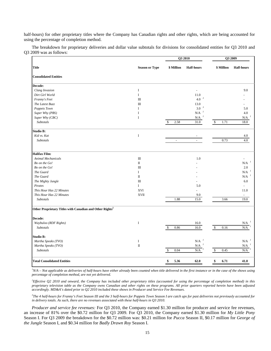half-hours) for other proprietary titles where the Company has Canadian rights and other rights, which are being accounted for using the percentage of completion method.

The breakdown for proprietary deliveries and dollar value subtotals for divisions for consolidated entities for Q3 2010 and Q3 2009 was as follows:

|                                                                      |                       |                      | Q3 2010                         |                      | Q3 2009                         |
|----------------------------------------------------------------------|-----------------------|----------------------|---------------------------------|----------------------|---------------------------------|
| <b>Title</b>                                                         | <b>Season or Type</b> | \$ Million           | <b>Half-hours</b>               | \$ Million           | <b>Half-hours</b>               |
| <b>Consolidated Entities</b>                                         |                       |                      |                                 |                      |                                 |
| Decode:                                                              |                       |                      |                                 |                      |                                 |
| Clang Invasion                                                       | $\bf I$               |                      | $\overline{a}$                  |                      | 9.0                             |
| Dirt Girl World                                                      | $\bf I$               |                      | 11.0                            |                      |                                 |
| Franny's Feet                                                        | $\mathbf{I}$          |                      | 4.0 $3$                         |                      |                                 |
| The Latest Buzz                                                      | $\rm III$             |                      | 13.0                            |                      |                                 |
| Poppets Town                                                         | I                     |                      | 3.0 <sup>3</sup>                |                      | 5.0                             |
| Super Why (PBS)                                                      | $\bf I$               |                      | $\rm N/A$                       |                      | 4.0                             |
| Super Why (CBC)                                                      | $\bf I$               |                      | $N/A$ <sup><math>I</math></sup> |                      | N/A                             |
| Subtotals                                                            |                       | 2.58<br>$\mathbb{S}$ | 31.0                            | 1.71<br>\$           | 18.0                            |
| <b>Studio B:</b>                                                     |                       |                      |                                 |                      |                                 |
| Kid vs. Kat                                                          | $\mathbf I$           |                      |                                 |                      | 4.0                             |
| Subtotals                                                            |                       | $\blacksquare$       | $\blacksquare$                  | 0.73                 | 4.0                             |
| <b>Halifax Film:</b>                                                 |                       |                      |                                 |                      |                                 |
| Animal Mechanicals                                                   | Ш                     |                      | 1.0                             |                      |                                 |
| Bo on the Go!                                                        | $\rm II$              |                      |                                 |                      | $\mbox{N/A}^{-1}$               |
| Bo on the Go!                                                        | $\rm III$             |                      |                                 |                      | 2.0                             |
| The Guard                                                            | $\bf I$               |                      |                                 |                      | $N/A$ <sup><math>1</math></sup> |
| The Guard                                                            | $\rm II$              |                      |                                 |                      | $\text{N/A}$ $^{-1}$            |
| The Mighty Jungle                                                    | $\rm III$             |                      |                                 |                      | 6.0                             |
| Pirates                                                              | $\mathbf I$           |                      | 5.0                             |                      |                                 |
| This Hour Has 22 Minutes                                             | <b>XVI</b>            |                      |                                 |                      | 11.0                            |
| This Hour Has 22 Minutes                                             | <b>XVII</b>           |                      | 9.0                             |                      | $\blacksquare$                  |
| <b>Subtotals</b>                                                     |                       | 1.88                 | 15.0                            | 3.66                 | 19.0                            |
| Other Proprietary Titles with Canadian and Other Rights <sup>2</sup> |                       |                      |                                 |                      |                                 |
| Decode:                                                              |                       |                      |                                 |                      |                                 |
| Waybuloo (RDF Rights)                                                | $\bf I$               |                      | 16.0                            |                      | N/A                             |
| Subtotals                                                            |                       | 0.86<br>\$           | 16.0                            | $\mathbb{S}$<br>0.16 | N/A                             |
| Studio B:                                                            |                       |                      |                                 |                      |                                 |
| Martha Speaks (TVO)                                                  | $\bf I$               |                      | $N/A$ <sup><math>1</math></sup> |                      | $N/A$ <sup><math>1</math></sup> |
| Martha Speaks (TVO)                                                  | $\rm{II}$             |                      | N/A                             |                      | N/A                             |
| Subtotals                                                            |                       | 0.04<br>\$           | N/A                             | 0.45<br>$\mathbb{S}$ | N/A                             |
| <b>Total Consolidated Entities</b>                                   |                       | 5.36<br>\$           | 62.0                            | 6.71<br>\$           | 41.0                            |

<sup>*IN/A – Not applicable as deliveries of half-hours have either already been counted when title delivered in the first instance or in the case of the shows using</sup> percentage of completion method, are not yet delivered*.

*2 Effective Q2 2010 and onward, the Company has included other proprietary titles (accounted for using the percentage of completion method) in this proprietary television table as the Company owns Canadian and other rights on these programs. All prior quarters reported herein have been adjusted accordingly. MD&A's dated prior to Q2 2010 included these shows in Producer and Service Fee Revenues.* 

*3 The 4 half-hours for Franny's Feet Season III and the 3 half-hours for Poppets Town Season I are catch ups for past deliveries not previously accounted for*  in delivery totals. As such, there are no revenues associated with these half-hours in Q3 2010.

*Producer and service fee revenues:* For Q3 2010, the Company earned \$1.30 million for producer and service fee revenues, an increase of 81% over the \$0.72 million for Q3 2009. For Q3 2010, the Company earned \$1.30 million for *My Little Pony* Season I. For Q3 2009 the breakdown for the \$0.72 million was: \$0.21 million for *Pucca* Season II, \$0.17 million for *George of the Jungle* Season I, and \$0.34 million for *Badly Drawn Roy* Season I.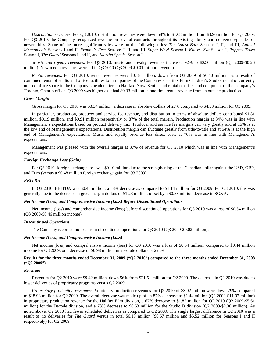*Distribution revenues*: For Q3 2010, distribution revenues were down 58% to \$1.68 million from \$3.96 million for Q3 2009. For Q3 2010, the Company recognized revenue on several contracts throughout its existing library and delivered episodes of newer titles. Some of the more significant sales were on the following titles: *The Latest Buzz* Seasons I, II, and III, *Animal Mechanicals* Seasons I and II, *Franny's Feet* Seasons I, II, and III, *Super Why!* Season I, *Kid vs. Kat* Season I, *Poppets Town* Season I, *The Guard* Seasons I and II, and *Martha Speaks* Season I.

*Music and royalty revenues*: For Q3 2010, music and royalty revenues increased 92% to \$0.50 million (Q3 2009-\$0.26 million). New media revenues were nil in Q3 2010 (Q3 2009-\$0.01 million revenue).

*Rental revenues*: For Q3 2010, rental revenues were \$0.18 million, down from Q3 2009 of \$0.40 million, as a result of continued rental of studio and office facilities to third parties of the Company's Halifax Film Children's Studio, rental of currently unused office space in the Company's headquarters in Halifax, Nova Scotia, and rental of office and equipment of the Company's Toronto, Ontario office. Q3 2009 was higher as it had \$0.33 million in one-time rental revenue from an outside production.

#### *Gross Margin*

Gross margin for Q3 2010 was \$3.34 million, a decrease in absolute dollars of 27% compared to \$4.58 million for Q3 2009.

In particular, production, producer and service fee revenue, and distribution in terms of absolute dollars contributed \$1.81 million, \$0.19 million, and \$0.91 million respectively or 87% of the total margin. Production margin at 34% was in line with Management's expectations based on product delivery mix. Producer and service fee margins can vary greatly and at 15% is at the low end of Management's expectations. Distribution margin can fluctuate greatly from title-to-title and at 54% is at the high end of Management's expectations. Music and royalty revenue less direct costs at 70% was in line with Management's expectations.

Management was pleased with the overall margin at 37% of revenue for Q3 2010 which was in line with Management's expectations.

## *Foreign Exchange Loss (Gain)*

For Q3 2010, foreign exchange loss was \$0.10 million due to the strengthening of the Canadian dollar against the USD, GBP, and Euro (versus a \$0.48 million foreign exchange gain for Q3 2009).

## *EBITDA*

In Q3 2010, EBITDA was \$0.48 million, a 58% decrease as compared to \$1.14 million for Q3 2009. For Q3 2010, this was generally due to the decrease in gross margin dollars of \$1.23 million, offset by a \$0.58 million decrease in SG&A.

#### *Net Income (Loss) and Comprehensive Income (Loss) Before Discontinued Operations*

Net income (loss) and comprehensive income (loss) before discontinued operations for Q3 2010 was a loss of \$0.54 million (Q3 2009-\$0.46 million income).

## *Discontinued Operations*

The Company recorded no loss from discontinued operations for Q3 2010 (Q3 2009-\$0.02 million).

#### *Net Income (Loss) and Comprehensive Income (Loss)*

Net income (loss) and comprehensive income (loss) for Q3 2010 was a loss of \$0.54 million, compared to \$0.44 million income for Q3 2009, or a decrease of \$0.98 million in absolute dollars or 223%.

## **Results for the three months ended December 31, 2009 ("Q2 2010") compared to the three months ended December 31, 2008 ("Q2 2009")**

#### *Revenues*

Revenues for Q2 2010 were \$9.42 million, down 56% from \$21.51 million for Q2 2009. The decrease in Q2 2010 was due to lower deliveries of proprietary programs versus Q2 2009.

*Proprietary production revenues*: Proprietary production revenues for Q2 2010 of \$3.92 million were down 79% compared to \$18.98 million for Q2 2009. The overall decrease was made up of an 87% decrease to \$1.44 million (Q2 2009-\$11.07 million) in proprietary production revenue for the Halifax Film division, a 67% decrease to \$1.85 million for Q2 2010 (Q2 2009-\$5.61 million) for the Decode division, and a 73% decrease to \$0.63 million for the Studio B division (Q2 2009-\$2.30 million). As noted above, Q2 2010 had fewer scheduled deliveries as compared to Q2 2009. The single largest difference in Q2 2010 was a result of no deliveries for *The Guard* versus in total \$6.19 million (\$0.67 million and \$5.52 million for Seasons I and II respectively) for Q2 2009.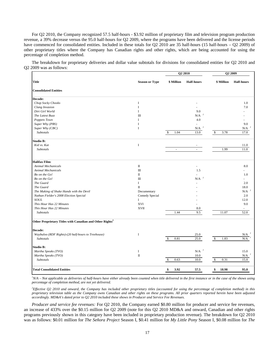For Q2 2010, the Company recognized 57.5 half-hours - \$3.92 million of proprietary film and television program production revenue, a 39% decrease versus the 95.0 half-hours for Q2 2009, where the programs have been delivered and the license periods have commenced for consolidated entities. Included in these totals for Q2 2010 are 35 half-hours (15 half-hours – Q2 2009) of other proprietary titles where the Company has Canadian rights and other rights, which are being accounted for using the percentage of completion method.

The breakdown for proprietary deliveries and dollar value subtotals for divisions for consolidated entities for Q2 2010 and Q2 2009 was as follows:

|                                                                      |                                  |                          | Q2 2010                         |                      | Q2 2009           |
|----------------------------------------------------------------------|----------------------------------|--------------------------|---------------------------------|----------------------|-------------------|
| <b>Title</b>                                                         | <b>Season or Type</b>            | \$ Million               | <b>Half-hours</b>               | \$ Million           | <b>Half-hours</b> |
| <b>Consolidated Entities</b>                                         |                                  |                          |                                 |                      |                   |
| Decode:                                                              |                                  |                          |                                 |                      |                   |
| Chop Socky Chooks                                                    | I                                |                          |                                 |                      | 1.0               |
| Clang Invasion                                                       | I                                |                          |                                 |                      | 7.0               |
| Dirt Girl World                                                      | I                                |                          | 9.0                             |                      |                   |
| The Latest Buzz                                                      | $\mathop{\mathrm{III}}\nolimits$ |                          | N/A                             |                      |                   |
| Poppets Town                                                         | I                                |                          | 4.0                             |                      |                   |
| Super Why (PBS)                                                      | I                                |                          |                                 |                      | 9.0               |
| Super Why (CBC)                                                      | I                                |                          | $\overline{1}$<br>N/A           |                      | N/A               |
| Subtotals                                                            |                                  | 1.04<br>\$               | 13.0                            | 3.78<br>\$           | 17.0              |
| <b>Studio B:</b>                                                     |                                  |                          |                                 |                      |                   |
| Kid vs. Kat                                                          | I                                |                          |                                 |                      | 11.0              |
| Subtotals                                                            |                                  | $\overline{\phantom{a}}$ |                                 | 1.99                 | 11.0              |
|                                                                      |                                  |                          |                                 |                      |                   |
| <b>Halifax Film:</b>                                                 |                                  |                          |                                 |                      |                   |
| Animal Mechanicals                                                   | $\rm{II}$                        |                          |                                 |                      | 8.0               |
| <b>Animal Mechanicals</b>                                            | $\mathbf{I}$                     |                          | 1.5                             |                      |                   |
| Bo on the Go!                                                        | $\rm II$                         |                          |                                 |                      | 1.0               |
| Bo on the Go!                                                        | $\rm III$                        |                          | $N/A$ <sup><math>I</math></sup> |                      |                   |
| The Guard                                                            | $\mathbf I$                      |                          |                                 |                      | 2.0               |
| The Guard                                                            | $\rm II$                         |                          |                                 |                      | 18.0              |
| The Making of Shake Hands with the Devil                             | Documentary                      |                          |                                 |                      | N/A               |
| Nathan Fielder's 2008 Election Special                               | Comedy Special                   |                          |                                 |                      | 2.0               |
| SOUL                                                                 | Ι.                               |                          |                                 |                      | 12.0              |
| This Hour Has 22 Minutes                                             | <b>XVI</b>                       |                          |                                 |                      | 9.0               |
| This Hour Has 22 Minutes                                             | <b>XVII</b>                      |                          | 8.0                             |                      |                   |
| Subtotals                                                            |                                  | 1.44                     | 9.5                             | 11.07                | 52.0              |
| Other Proprietary Titles with Canadian and Other Rights <sup>2</sup> |                                  |                          |                                 |                      |                   |
| Decode:                                                              |                                  |                          |                                 |                      |                   |
| Waybuloo (RDF Rights)-(20 half-hours to Treehouse)                   | I                                |                          | 25.0                            |                      | N/A               |
| Subtotals                                                            |                                  | 0.81<br>\$               | 25.0                            | \$<br>1.83           | N/A               |
|                                                                      |                                  |                          |                                 |                      |                   |
| <b>Studio B:</b>                                                     |                                  |                          |                                 |                      |                   |
| Martha Speaks (TVO)                                                  | I                                |                          | $N/A$ <sup><math>1</math></sup> |                      | 15.0              |
| Martha Speaks (TVO)                                                  | $\rm II$                         |                          | 10.0                            |                      | N/A               |
| Subtotals                                                            |                                  | 0.63<br>\$               | 10.0                            | 0.31<br>$\mathbb{S}$ | 15.0              |
| <b>Total Consolidated Entities</b>                                   |                                  | 3.92<br>\$               | 57.5                            | \$<br>18.98          | 95.0              |
|                                                                      |                                  |                          |                                 |                      |                   |

<sup>*IN/A – Not applicable as deliveries of half-hours have either already been counted when title delivered in the first instance or in the case of the shows using</sup> percentage of completion method, are not yet delivered*.

*2 Effective Q2 2010 and onward, the Company has included other proprietary titles (accounted for using the percentage of completion method) in this proprietary television table as the Company owns Canadian and other rights on these programs. All prior quarters reported herein have been adjusted accordingly. MD&A's dated prior to Q2 2010 included these shows in Producer and Service Fee Revenues.* 

*Producer and service fee revenues:* For Q2 2010, the Company earned \$0.80 million for producer and service fee revenues, an increase of 433% over the \$0.15 million for Q2 2009 (note for this Q2 2010 MD&A and onward, Canadian and other rights programs previously shown in this category have been included in proprietary production revenue). The breakdown for Q2 2010 was as follows: \$0.01 million for *The Señora Project* Season I, \$0.41 million for *My Little Pony* Season I, \$0.08 million for *The*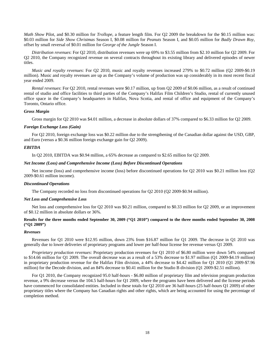*Math Show* Pilot, and \$0.30 million for *Trollope,* a feature length film. For Q2 2009 the breakdown for the \$0.15 million was: \$0.03 million for *Side Show Christmas* Season I, \$0.08 million for *Peanuts* Season I, and \$0.05 million for *Badly Drawn Roy*, offset by small reversal of \$0.01 million for *George of the Jungle* Season I.

*Distribution revenues*: For Q2 2010, distribution revenues were up 69% to \$3.55 million from \$2.10 million for Q2 2009. For Q2 2010, the Company recognized revenue on several contracts throughout its existing library and delivered episodes of newer titles.

*Music and royalty revenues*: For Q2 2010, music and royalty revenues increased 279% to \$0.72 million (Q2 2009-\$0.19 million). Music and royalty revenues are up as the Company's volume of production was up considerably in its most recent fiscal year ended 2009.

*Rental revenues*: For Q2 2010, rental revenues were \$0.17 million, up from Q2 2009 of \$0.06 million, as a result of continued rental of studio and office facilities to third parties of the Company's Halifax Film Children's Studio, rental of currently unused office space in the Company's headquarters in Halifax, Nova Scotia, and rental of office and equipment of the Company's Toronto, Ontario office.

#### *Gross Margin*

Gross margin for Q2 2010 was \$4.01 million, a decrease in absolute dollars of 37% compared to \$6.33 million for Q2 2009.

## *Foreign Exchange Loss (Gain)*

For Q2 2010, foreign exchange loss was \$0.22 million due to the strengthening of the Canadian dollar against the USD, GBP, and Euro (versus a \$0.36 million foreign exchange gain for Q2 2009).

## *EBITDA*

In Q2 2010, EBITDA was \$0.94 million, a 65% decrease as compared to \$2.65 million for Q2 2009.

## *Net Income (Loss) and Comprehensive Income (Loss) Before Discontinued Operations*

Net income (loss) and comprehensive income (loss) before discontinued operations for Q2 2010 was \$0.21 million loss (Q2 2009-\$0.61 million income).

#### *Discontinued Operations*

The Company recorded no loss from discontinued operations for Q2 2010 (Q2 2009-\$0.94 million).

#### *Net Loss and Comprehensive Loss*

Net loss and comprehensive loss for Q2 2010 was \$0.21 million, compared to \$0.33 million for Q2 2009, or an improvement of \$0.12 million in absolute dollars or 36%.

## **Results for the three months ended September 30, 2009 ("Q1 2010") compared to the three months ended September 30, 2008 ("Q1 2009")**

## *Revenues*

Revenues for Q1 2010 were \$12.95 million, down 23% from \$16.87 million for Q1 2009. The decrease in Q1 2010 was generally due to lower deliveries of proprietary programs and lower per half-hour license fee revenue versus Q1 2009.

*Proprietary production revenues*: Proprietary production revenues for Q1 2010 of \$6.80 million were down 54% compared to \$14.66 million for Q1 2009. The overall decrease was as a result of a 53% decrease to \$1.97 million (Q1 2009-\$4.19 million) in proprietary production revenue for the Halifax Film division, a 44% decrease to \$4.42 million for Q1 2010 (Q1 2009-\$7.96 million) for the Decode division, and an 84% decrease to \$0.41 million for the Studio B division (Q1 2009-\$2.51 million).

For Q1 2010, the Company recognized 95.0 half-hours - \$6.80 million of proprietary film and television program production revenue, a 9% decrease versus the 104.5 half-hours for Q1 2009, where the programs have been delivered and the license periods have commenced for consolidated entities. Included in these totals for Q2 2010 are 36 half-hours (25 half-hours Q1 2009) of other proprietary titles where the Company has Canadian rights and other rights, which are being accounted for using the percentage of completion method.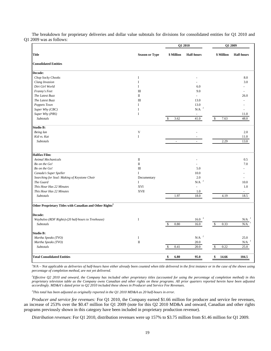The breakdown for proprietary deliveries and dollar value subtotals for divisions for consolidated entities for Q1 2010 and Q1 2009 was as follows:

| <b>Season or Type</b><br>$\bf{I}$<br>I<br>I<br>$\mathbf{I}$ | \$ Million                                                                                     | <b>Half-hours</b>               | \$ Million                                                                 | <b>Half-hours</b> |
|-------------------------------------------------------------|------------------------------------------------------------------------------------------------|---------------------------------|----------------------------------------------------------------------------|-------------------|
|                                                             |                                                                                                |                                 |                                                                            |                   |
|                                                             |                                                                                                |                                 |                                                                            |                   |
|                                                             |                                                                                                |                                 |                                                                            |                   |
|                                                             |                                                                                                |                                 |                                                                            | 8.0               |
|                                                             |                                                                                                |                                 |                                                                            | 3.0               |
|                                                             |                                                                                                | 6.0                             |                                                                            |                   |
|                                                             |                                                                                                | 9.0                             |                                                                            |                   |
| $\rm II$                                                    |                                                                                                |                                 |                                                                            | 26.0              |
| $\mathbf{m}$                                                |                                                                                                | 13.0                            |                                                                            |                   |
| I                                                           |                                                                                                | 13.0                            |                                                                            |                   |
| I                                                           |                                                                                                | $N/A$ <sup><math>I</math></sup> |                                                                            |                   |
| I                                                           |                                                                                                | $\sim$                          |                                                                            | 11.0              |
|                                                             | 3.62<br>$\mathbf{\hat{S}}$                                                                     | 41.0                            | $\mathbb{S}$<br>7.63                                                       | 48.0              |
|                                                             |                                                                                                |                                 |                                                                            |                   |
| $\ensuremath{\mathbf{V}}$                                   |                                                                                                |                                 |                                                                            | 2.0               |
| $\bf{I}$                                                    |                                                                                                |                                 |                                                                            | 11.0              |
|                                                             | $\overline{a}$                                                                                 |                                 | 2.29                                                                       | 13.0              |
|                                                             |                                                                                                |                                 |                                                                            |                   |
|                                                             |                                                                                                |                                 |                                                                            |                   |
|                                                             |                                                                                                |                                 |                                                                            | 0.5               |
|                                                             |                                                                                                |                                 |                                                                            | 7.0               |
|                                                             |                                                                                                |                                 |                                                                            |                   |
|                                                             |                                                                                                |                                 |                                                                            |                   |
|                                                             |                                                                                                |                                 |                                                                            |                   |
|                                                             |                                                                                                |                                 |                                                                            | 10.0              |
|                                                             |                                                                                                |                                 |                                                                            | 1.0               |
|                                                             |                                                                                                | 1.0                             |                                                                            |                   |
|                                                             |                                                                                                |                                 |                                                                            | 18.5              |
|                                                             |                                                                                                |                                 |                                                                            |                   |
|                                                             |                                                                                                |                                 |                                                                            |                   |
| $\bf{I}$                                                    |                                                                                                | 16.0 <sup>3</sup>               |                                                                            | N/A               |
|                                                             | 0.80<br>\$.                                                                                    | 16.0                            | 0.33<br>$\mathbf{s}$                                                       | N/A               |
|                                                             |                                                                                                |                                 |                                                                            |                   |
| $\rm I$                                                     |                                                                                                |                                 |                                                                            | 25.0              |
| $\rm II$                                                    |                                                                                                | 20.0                            |                                                                            | N/A               |
|                                                             | 0.41<br>$\mathbf{\hat{S}}$                                                                     | 20.0                            | 0.22<br>$\mathbb{S}$                                                       | 25.0              |
|                                                             | 6.80<br>\$                                                                                     | 95.0                            | \$<br>14.66                                                                | 104.5             |
|                                                             | $\rm II$<br>$\rm II$<br>$\rm III$<br>$\bf{I}$<br>Documentary<br>$\bf{I}$<br>XVI<br><b>XVII</b> | 1.97                            | 5.0<br>10.0<br>2.0<br>$\rm N/A$<br>18.0<br>$N/A$ <sup><math>1</math></sup> | 4.19              |

<sup>*IN/A – Not applicable as deliveries of half-hours have either already been counted when title delivered in the first instance or in the case of the shows using</sup> percentage of completion method, are not yet delivered*.

*2 Effective Q2 2010 and onward, the Company has included other proprietary titles (accounted for using the percentage of completion method) in this proprietary television table as the Company owns Canadian and other rights on these programs. All prior quarters reported herein have been adjusted accordingly. MD&A's dated prior to Q2 2010 included these shows in Producer and Service Fee Revenues.* 

*3 This total has been adjusted as originally reported in the Q1 2010 MD&A as 20 half-hours in error.* 

*Producer and service fee revenues:* For Q1 2010, the Company earned \$1.66 million for producer and service fee revenues, an increase of 253% over the \$0.47 million for Q1 2009 (note for this Q2 2010 MD&A and onward, Canadian and other rights programs previously shown in this category have been included in proprietary production revenue).

*Distribution revenues*: For Q1 2010, distribution revenues were up 157% to \$3.75 million from \$1.46 million for Q1 2009.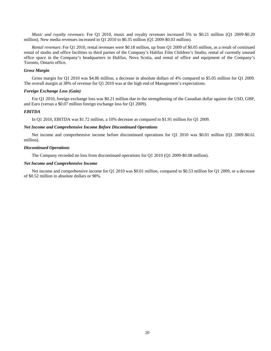*Music and royalty revenues*: For Q1 2010, music and royalty revenues increased 5% to \$0.21 million (Q1 2009-\$0.20 million). New media revenues increased in Q1 2010 to \$0.35 million (Q1 2009-\$0.03 million).

*Rental revenues*: For Q1 2010, rental revenues were \$0.18 million, up from Q1 2009 of \$0.05 million, as a result of continued rental of studio and office facilities to third parties of the Company's Halifax Film Children's Studio, rental of currently unused office space in the Company's headquarters in Halifax, Nova Scotia, and rental of office and equipment of the Company's Toronto, Ontario office.

## *Gross Margin*

Gross margin for Q1 2010 was \$4.86 million, a decrease in absolute dollars of 4% compared to \$5.05 million for Q1 2009. The overall margin at 38% of revenue for Q1 2010 was at the high end of Management's expectations.

## *Foreign Exchange Loss (Gain)*

For Q1 2010, foreign exchange loss was \$0.21 million due to the strengthening of the Canadian dollar against the USD, GBP, and Euro (versus a \$0.07 million foreign exchange loss for Q1 2009).

## *EBITDA*

In Q1 2010, EBITDA was \$1.72 million, a 10% decrease as compared to \$1.91 million for Q1 2009.

#### *Net Income and Comprehensive Income Before Discontinued Operations*

Net income and comprehensive income before discontinued operations for Q1 2010 was \$0.01 million (Q1 2009-\$0.61 million).

## *Discontinued Operations*

The Company recorded no loss from discontinued operations for Q1 2010 (Q1 2009-\$0.08 million).

## *Net Income and Comprehensive Income*

Net income and comprehensive income for Q1 2010 was \$0.01 million, compared to \$0.53 million for Q1 2009, or a decrease of \$0.52 million in absolute dollars or 98%.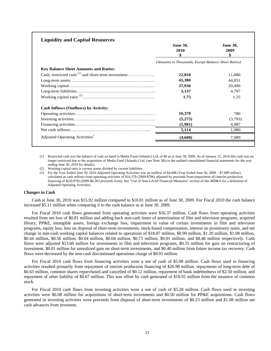|                                                          | <b>June 30,</b><br>2010<br>\$                       | <b>June 30,</b><br>2009<br>\$ |
|----------------------------------------------------------|-----------------------------------------------------|-------------------------------|
|                                                          | (Amounts in Thousands, Except Balance Sheet Ratios) |                               |
| <b>Key Balance Sheet Amounts and Ratios:</b>             |                                                     |                               |
| Cash, restricted cash $^{(1)}$ and short-term investment | 22,018                                              | 11,086                        |
|                                                          | 45,380                                              | 44,851                        |
|                                                          | 37,936                                              | 20,496                        |
|                                                          | 3,137                                               | 4,797                         |
|                                                          | 1.75                                                | 1.25                          |
| <b>Cash Inflows (Outflows) by Activity:</b>              |                                                     |                               |
|                                                          | 16,370                                              | 786                           |
|                                                          | (5,275)                                             | (3,793)                       |
|                                                          | (5,981)                                             | 4,987                         |
|                                                          | 5,114                                               | 1,980                         |
| Adjusted Operating Activities <sup>3</sup>               | (4,608)                                             | 7,089                         |

(1) Restricted cash was the balance of cash on hand in Media Fund (Atlantic) Ltd. of \$8 as at June 30, 2009. As of January 15, 2010 this cash was no longer restricted due to the acquisition of Media Fund (Atlantic) Ltd. (see Note 3(b) to the audited consolidated financial statements for the year ending June 30, 2010 for details).

(2) Working capital ratio is current assets divided by current liabilities.

(3) For the Year Ended June 30, 2010 Adjusted Operating Activities was an outflow of \$4,608 (Year Ended June 30, 2009 – \$7,089 inflow) calculated as cash inflows from operating activities of \$16,370 (2009-\$786) adjusted by proceeds from (repayment of) interim production financing of \$(20,978) (2009-\$6,303 proceeds from). See "Use of Non-GAAP Financial Measures" section of this MD&A for a definition of Adjusted Operating Activities.

## *Changes in Cash*

Cash at June 30, 2010 was \$15.92 million compared to \$10.81 million as of June 30, 2009. For Fiscal 2010 the cash balance increased \$5.11 million when comparing it to the cash balance as at June 30, 2009.

For Fiscal 2010 cash flows generated from operating activities were \$16.37 million. Cash flows from operating activities resulted from net loss of \$0.81 million and adding back non-cash items of amortization of film and television programs, acquired library, PP&E, intangible assets, foreign exchange loss, impairment in value of certain investments in film and television programs, equity loss, loss on disposal of short-term investments, stock-based compensation, interest on promissory notes, and net change in non-cash working capital balances related to operations of \$18.07 million, \$0.90 million, \$1.20 million, \$1.08 million, \$0.44 million, \$0.56 million, \$0.04 million, \$0.04 million, \$0.73 million, \$0.01 million, and \$8.48 million respectively. Cash flows were adjusted \$13.60 million for investments in film and television programs, \$0.35 million for gain on restructuring of investment, \$0.01 million for unrealized gain on short-term investments, and \$0.40 million from future income tax recovery. Cash flows were decreased by the non-cash discontinued operations charge of \$0.01 million.

For Fiscal 2010 cash flows from financing activities were a use of cash of \$5.98 million. Cash flows used in financing activities resulted primarily from repayment of interim production financing of \$20.98 million, repayments of long-term debt of \$0.63 million, common shares repurchased and cancelled of \$0.12 million, repayment of bank indebtedness of \$2.50 million, and repayment of other liability of \$0.67 million. This was offset by cash generated of \$18.92 million from the issuance of common stock.

For Fiscal 2010 cash flows from investing activities were a use of cash of \$5.28 million. Cash flows used in investing activities were \$6.08 million for acquisitions of short-term investments and \$0.50 million for PP&E acquisitions. Cash flows generated in investing activities were proceeds from disposal of short-term investments of \$0.23 million and \$1.08 million net cash advances from investees.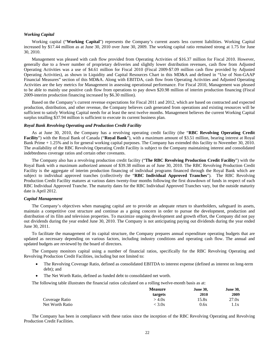## *Working Capital*

Working capital ("**Working Capital**") represents the Company's current assets less current liabilities. Working Capital increased by \$17.44 million as at June 30, 2010 over June 30, 2009. The working capital ratio remained strong at 1.75 for June 30, 2010.

Management was pleased with cash flow provided from Operating Activities of \$16.37 million for Fiscal 2010. However, generally due to a fewer number of proprietary deliveries and slightly lower distribution revenues, cash flow from Adjusted Operating Activities was a use of \$4.61 million for Fiscal 2010 (Fiscal 2009-\$7.09 million cash flow provided by Adjusted Operating Activities), as shown in Liquidity and Capital Resources Chart in this MD&A and defined in "Use of Non-GAAP Financial Measures" section of this MD&A. Along with EBITDA, cash flow from Operating Activities and Adjusted Operating Activities are the key metrics for Management in assessing operational performance. For Fiscal 2010, Management was pleased to be able to mainly use positive cash flow from operations to pay down \$20.98 million of interim production financing (Fiscal 2009-interim production financing increased by \$6.30 million).

Based on the Company's current revenue expectations for Fiscal 2011 and 2012, which are based on contracted and expected production, distribution, and other revenue, the Company believes cash generated from operations and existing resources will be sufficient to satisfy Working Capital needs for at least the next twelve months. Management believes the current Working Capital surplus totalling \$37.94 million is sufficient to execute its current business plan.

#### *Royal Bank Revolving Operating and Production Credit Facility*

As at June 30, 2010, the Company has a revolving operating credit facility (the "**RBC Revolving Operating Credit Facility**") with the Royal Bank of Canada ("**Royal Bank**"), with a maximum amount of \$3.51 million, bearing interest at Royal Bank Prime + 1.25% and is for general working capital purposes. The Company has extended this facility to November 30, 2010. The availability of the RBC Revolving Operating Credit Facility is subject to the Company maintaining interest and consolidated indebtedness coverage ratios and certain other covenants.

The Company also has a revolving production credit facility ("**The RBC Revolving Production Credit Facility**") with the Royal Bank with a maximum authorized amount of \$39.38 million as of June 30, 2010. The RBC Revolving Production Credit Facility is the aggregate of interim production financing of individual programs financed through the Royal Bank which are subject to individual approved tranches (collectively the "**RBC Individual Approved Tranches**"). The RBC Revolving Production Credit Facility matures at various dates twenty-four months following the first drawdown of funds in respect of each RBC Individual Approved Tranche. The maturity dates for the RBC Individual Approved Tranches vary, but the outside maturity date is April 2012.

## *Capital Management*

The Company's objectives when managing capital are to provide an adequate return to shareholders, safeguard its assets, maintain a competitive cost structure and continue as a going concern in order to pursue the development, production and distribution of its film and television properties. To maximize ongoing development and growth effort, the Company did not pay out dividends during the year ended June 30, 2010. The Company is not anticipating paying out dividends during the year ended June 30, 2011.

To facilitate the management of its capital structure, the Company prepares annual expenditure operating budgets that are updated as necessary depending on various factors, including industry conditions and operating cash flow. The annual and updated budgets are reviewed by the board of directors.

The Company monitors capital using a number of financial ratios, specifically for the RBC Revolving Operating and Revolving Production Credit Facilities, including but not limited to:

- The Revolving Coverage Ratio, defined as consolidated EBITDA to interest expense (defined as interest on long-term debt); and
- The Net Worth Ratio, defined as funded debt to consolidated net worth.

The following table illustrates the financial ratios calculated on a rolling twelve-month basis as at:

|                 | <b>Measure</b> | <b>June 30.</b> | <b>June 30,</b> |
|-----------------|----------------|-----------------|-----------------|
|                 | targets        | 2010            | 2009            |
| Coverage Ratio  | $>$ 4.0x       | 15.8x           | 27.0x           |
| Net Worth Ratio | $<$ 3.0x       | 0.6x            | 1.1x            |

The Company has been in compliance with these ratios since the inception of the RBC Revolving Operating and Revolving Production Credit Facilities.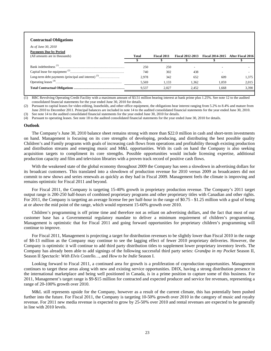| <b>Contractual Obligations</b> |              |             |       |       |                                                            |
|--------------------------------|--------------|-------------|-------|-------|------------------------------------------------------------|
| As of June 30, 2010            |              |             |       |       |                                                            |
| <b>Payments Due by Period</b>  |              |             |       |       |                                                            |
| (All amounts are in thousands) | <b>Total</b> | Fiscal 2011 |       |       | <b>Fiscal 2012-2013</b> Fiscal 2014-2015 After Fiscal 2016 |
|                                |              |             |       |       |                                                            |
|                                | 250          | 250         |       |       |                                                            |
|                                | 740          | 302         | 438   |       |                                                            |
|                                | 2,978        | 342         | 652   | 609   | 1,375                                                      |
|                                | 5,569        | 1,133       | 1,362 | 1,059 | 2,015                                                      |
|                                | 9,537        | 2.027       | 2.452 | 1.668 | 3,390                                                      |
|                                |              |             |       |       |                                                            |

RBC Revolving Operating Credit Facility with a maximum amount of \$3.51 million bearing interest at bank prime plus 1.25%. See note 12 to the audited consolidated financial statements for the year ended June 30, 2010 for details.

(2) Pursuant to capital leases for video editing, leaseholds, and other office equipment, the obligations bear interest ranging from 5.2% to 8.4% and mature from June 2010 to December 2011. Principal balances are included in note 14 to the audited consolidated financial statements for the year ended June 30, 2010. (3) See note 14 to the audited consolidated financial statements for the year ended June 30, 2010 for details.

(4) Pursuant to operating leases. See note 18 to the audited consolidated financial statements for the year ended June 30, 2010 for details.

#### **Outlook**

The Company's June 30, 2010 balance sheet remains strong with more than \$22.0 million in cash and short-term investments on hand. Management is focusing on its core strengths of developing, producing, and distributing the best possible quality Children's and Family programs with goals of increasing cash flows from operations and profitability through existing production and distribution streams and emerging music and M&L opportunities. With its cash on hand the Company is also seeking acquisition targets to compliment its core strengths. Possible opportunities would include licensing expertise, additional production capacity and film and television libraries with a proven track record of positive cash flows.

With the weakened state of the global economy throughout 2009 the Company has seen a slowdown in advertising dollars for its broadcast customers. This translated into a slowdown of production revenue for 2010 versus 2009 as broadcasters did not commit to new shows and series renewals as quickly as they had in Fiscal 2009. Management feels the climate is improving and remains optimistic for Fiscal 2011 and beyond.

For Fiscal 2011, the Company is targeting 15-40% growth in proprietary production revenue. The Company's 2011 target output range is 200-250 half-hours of combined proprietary programs and other proprietary titles with Canadian and other rights. For 2011, the Company is targeting an average license fee per half-hour in the range of \$0.75 - \$1.25 million with a goal of being at or above the mid point of the range, which would represent 15-60% growth over 2010.

Children's programming is off prime time and therefore not as reliant on advertising dollars, and the fact that most of our customer base has a Governmental regulatory mandate to deliver a minimum requirement of children's programming, Management is optimistic that for Fiscal 2011 and going forward opportunities for proprietary children's programming will continue to improve.

For Fiscal 2011, Management is projecting a target for distribution revenues to be slightly lower than Fiscal 2010 in the range of \$8-13 million as the Company may continue to see the lagging effect of fewer 2010 proprietary deliveries. However, the Company is optimistic it will continue to add third party distribution titles to supplement lower proprietary inventory levels. The Company has already been able to add signings of the following successful third party series: *Grandpa in my Pocket* Season II, Season II *Spectacle: With Elvis Costello…*, and *How to be Indie* Season I.

Looking forward to Fiscal 2011, a continued area for growth is a proliferation of coproduction opportunities. Management continues to target these areas along with new and existing service opportunities. DHX, having a strong distribution presence in the international marketplace and being well positioned in Canada, is in a prime position to capture some of this business. For 2011, Management's target range is \$9-\$15 million for contracted and expected producer and service fee revenues, representing a range of 20-100% growth over 2010.

M&L still represents upside for the Company, however as a result of the current climate, this has potentially been pushed further into the future. For Fiscal 2011, the Company is targeting 10-50% growth over 2010 in the category of music and royalty revenue. For 2011 new media revenue is expected to grow by 25-50% over 2010 and rental revenues are expected to be generally in line with 2010 levels.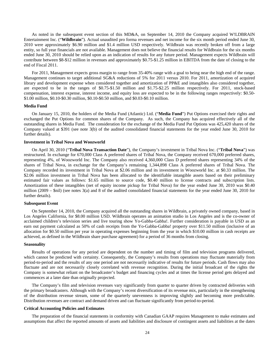As noted in the subsequent event section of this MD&A, on September 14, 2010 the Company acquired W!LDBRAIN Entertainment Inc. ("**Wildbrain**"). Actual unaudited pro forma revenues and net income for the six month period ended June 30, 2010 were approximately \$6.90 million and \$1.4 million USD respectively. Wildbrain was recently broken off from a large entity, so full year financials are not available. Management does not believe the financial results for Wildbrain for the six months ended June 30, 2010 should be relied upon as an indication of results for any future period. Management expects Wildbrain will contribute between \$8-\$12 million in revenues and approximately \$0.75-\$1.25 million in EBITDA from the date of closing to the end of Fiscal 2011.

For 2011, Management expects gross margin to range from 35-40% range with a goal to being near the high end of the range. Management continues to target additional SG&A reductions of 5% for 2011 versus 2010. For 2011, amortization of acquired library and development expense when considered together and amortization of PP&E and intangibles also considered together, are expected to be in the ranges of \$0.75-\$1.50 million and \$1.75-\$2.25 million respectively. For 2011, stock-based compensation, interest expense, interest income, and equity loss are expected to be in the following ranges respectively: \$0.50- \$1.00 million, \$0.10-\$0.30 million, \$0.10-\$0.50 million, and \$0.03-\$0.10 million.

#### **Media Fund**

On January 15, 2010, the holders of the Media Fund (Atlantic) Ltd. ("**Media Fund**") Put Options exercised their rights and exchanged the Put Options for common shares of the Company. As such, the Company has acquired effectively all of the outstanding shares in Media Fund. The consideration for the exchange of the Media Fund Put Options was 425,420 shares of the Company valued at \$391 (see note 3(b) of the audited consolidated financial statements for the year ended June 30, 2010 for further details).

## **Investment in Tribal Nova and Woozworld**

On April 30, 2010 ("**Tribal Nova Transaction Date**"), the Company's investment in Tribal Nova Inc. ("**Tribal Nova**") was restructured. In exchange for 670,000 Class A preferred shares of Tribal Nova, the Company received 670,000 preferred shares, representing 4%, of Woozworld Inc. The Company also received 4,360,000 Class D preferred shares representing 34% of the shares of Tribal Nova, in exchange for the Company's remaining 1,344,898 Class A preferred shares of Tribal Nova. The Company recorded its investment in Tribal Nova at \$2.06 million and its investment in Woozworld Inc. at \$0.33 million. The \$2.06 million investment in Tribal Nova has been allocated to the identifiable intangible assets based on their preliminary estimated fair values as follows: \$1.65 million to source code, \$0.40 million to license contracts and subscription lists. Amortization of these intangibles (net of equity income pickup for Tribal Nova) for the year ended June 30, 2010 was \$0.40 million (2009 – \$nil) (see notes 3(a) and 8 of the audited consolidated financial statements for the year ended June 30, 2010 for further details).

#### **Subsequent Event**

On September 14, 2010, the Company acquired all the outstanding shares in Wildbrain, a privately owned company, based in Los Angeles California, for \$8.00 million USD. Wildbrain operates an animation studio in Los Angeles and is the co-owner of acclaimed children's television series and live touring show Yo-Gabba-Gabba!. Further consideration is payable in USD as an earn out payment calculated as 50% of cash receipts from the Yo-Gabba-Gabba! property over \$11.50 million (inclusive of an allocation for \$0.50 million per year in operating expenses beginning from the year in which \$10.00 million in cash receipts are achieved, as defined in the Wildbrain share purchase agreement) for a period of 36 months from closing.

#### **Seasonality**

Results of operations for any period are dependent on the number and timing of film and television programs delivered, which cannot be predicted with certainty. Consequently, the Company's results from operations may fluctuate materially from period-to-period and the results of any one period are not necessarily indicative of results for future periods. Cash flows may also fluctuate and are not necessarily closely correlated with revenue recognition. During the initial broadcast of the rights the Company is somewhat reliant on the broadcaster's budget and financing cycles and at times the license period gets delayed and commences at a later date than originally projected.

The Company's film and television revenues vary significantly from quarter to quarter driven by contracted deliveries with the primary broadcasters. Although with the Company's recent diversification of its revenue mix, particularly in the strengthening of the distribution revenue stream, some of the quarterly unevenness is improving slightly and becoming more predictable. Distribution revenues are contract and demand driven and can fluctuate significantly from period-to-period.

#### **Critical Accounting Policies and Estimates**

The preparation of the financial statements in conformity with Canadian GAAP requires Management to make estimates and assumptions that affect the reported amounts of assets and liabilities and disclosure of contingent assets and liabilities at the dates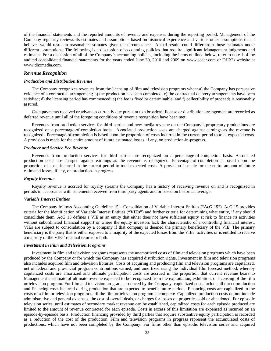of the financial statements and the reported amounts of revenue and expenses during the reporting period. Management of the Company regularly reviews its estimates and assumptions based on historical experience and various other assumptions that it believes would result in reasonable estimates given the circumstances. Actual results could differ from those estimates under different assumptions. The following is a discussion of accounting policies that require significant Management judgments and estimates. For a discussion of all of the Company's accounting policies, including the items outlined below, refer to note 1 of the audited consolidated financial statements for the years ended June 30, 2010 and 2009 on www.sedar.com or DHX's website at [www.dhxmedia.com](http://www.dhxmedia.com/).

## *Revenue Recognition*

#### *Production and Distribution Revenue*

The Company recognizes revenues from the licensing of film and television programs when: a) the Company has persuasive evidence of a contractual arrangement; b) the production has been completed; c) the contractual delivery arrangements have been satisfied; d) the licensing period has commenced; e) the fee is fixed or determinable; and f) collectibility of proceeds is reasonably assured.

Cash payments received or advances currently due pursuant to a broadcast license or distribution arrangement are recorded as deferred revenue until all of the foregoing conditions of revenue recognition have been met.

Revenues from production services for third parties and new media revenue on the Company's proprietary productions are recognized on a percentage-of-completion basis. Associated production costs are charged against earnings as the revenue is recognized. Percentage-of-completion is based upon the proportion of costs incurred in the current period to total expected costs. A provision is made for the entire amount of future estimated losses, if any, on production-in-progress.

#### *Producer and Service Fee Revenue*

Revenues from production services for third parties are recognized on a percentage-of-completion basis. Associated production costs are charged against earnings as the revenue is recognized. Percentage-of-completion is based upon the proportion of costs incurred in the current period to total expected costs. A provision is made for the entire amount of future estimated losses, if any, on production-in-progress.

#### *Royalty Revenue*

Royalty revenue is accrued for royalty streams the Company has a history of receiving revenue on and is recognized in periods in accordance with statements received from third party agents and or based on historical average.

#### *Variable Interest Entities*

The Company follows Accounting Guideline 15 – Consolidation of Variable Interest Entities ("**AcG 15**"). AcG 15 provides criteria for the identification of Variable Interest Entities (**"VIEs"**) and further criteria for determining what entity, if any should consolidate them. AcG 15 defines a VIE as an entity that either does not have sufficient equity at risk to finance its activities without subordinated financial support or where the equity investors lack the characteristic of a controlling financial interest. VIEs are subject to consolidation by a company if that company is deemed the primary beneficiary of the VIE. The primary beneficiary is the party that is either exposed to a majority of the expected losses from the VIEs' activities or is entitled to receive a majority of the VIEs' residual returns or both.

#### *Investment in Film and Television Programs*

Investment in film and television programs represents the unamortized costs of film and television programs which have been produced by the Company or for which the Company has acquired distribution rights. Investment in film and television programs also includes acquired film and television libraries. Costs of acquiring and producing film and television programs are capitalized, net of federal and provincial program contributions earned, and amortized using the individual film forecast method, whereby capitalized costs are amortized and ultimate participation costs are accrued in the proportion that current revenue bears to Management's estimate of ultimate revenue expected to be recognized from the exploitation, exhibition, or licensing of the film or television program. For film and television programs produced by the Company, capitalized costs include all direct production and financing costs incurred during production that are expected to benefit future periods. Financing costs are capitalized to the costs of a film or television program until the film or television program is complete. Capitalized production costs do not include administrative and general expenses, the cost of overall deals, or charges for losses on properties sold or abandoned. For episodic television series, until estimates of secondary market revenue can be established, capitalized costs for each episode produced are limited to the amount of revenue contracted for each episode. Costs in excess of this limitation are expensed as incurred on an episode-by-episode basis. Production financing provided by third parties that acquire substantive equity participation is recorded as a reduction of the cost of the production. Film and television programs in progress represent the accumulated costs of productions, which have not been completed by the Company. For films other than episodic television series and acquired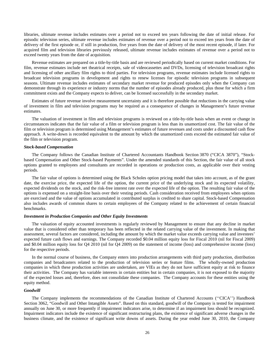libraries, ultimate revenue includes estimates over a period not to exceed ten years following the date of initial release. For episodic television series, ultimate revenue includes estimates of revenue over a period not to exceed ten years from the date of delivery of the first episode or, if still in production, five years from the date of delivery of the most recent episode, if later. For acquired film and television libraries previously released, ultimate revenue includes estimates of revenue over a period not to exceed twenty years from the date of acquisition.

Revenue estimates are prepared on a title-by-title basis and are reviewed periodically based on current market conditions. For film, revenue estimates include net theatrical receipts, sale of videocassettes and DVDs, licensing of television broadcast rights and licensing of other ancillary film rights to third parties. For television programs, revenue estimates include licensed rights to broadcast television programs in development and rights to renew licenses for episodic television programs in subsequent seasons. Ultimate revenue includes estimates of secondary market revenue for produced episodes only when the Company can demonstrate through its experience or industry norms that the number of episodes already produced, plus those for which a firm commitment exists and the Company expects to deliver, can be licensed successfully in the secondary market.

Estimates of future revenue involve measurement uncertainty and it is therefore possible that reductions in the carrying value of investment in film and television programs may be required as a consequence of changes in Management's future revenue estimates.

The valuation of investment in film and television programs is reviewed on a title-by-title basis when an event or change in circumstances indicates that the fair value of a film or television program is less than its unamortized cost. The fair value of the film or television program is determined using Management's estimates of future revenues and costs under a discounted cash flow approach. A write-down is recorded equivalent to the amount by which the unamortized costs exceed the estimated fair value of the film or television program.

## *Stock-based Compensation*

The Company follows the Canadian Institute of Chartered Accountants Handbook Section 3870 ("CICA 3870"), "Stockbased Compensation and Other Stock-based Payments". Under the amended standards of this Section, the fair value of all stock options granted to employees and consultants are recorded in operations or production costs, as applicable over their vesting periods.

The fair value of options is determined using the Black Scholes option pricing model that takes into account, as of the grant date, the exercise price, the expected life of the option, the current price of the underlying stock and its expected volatility, expected dividends on the stock, and the risk-free interest rate over the expected life of the option. The resulting fair value of the options is expensed on a straight-line basis over their vesting periods. Cash consideration received from employees when options are exercised and the value of options accumulated in contributed surplus is credited to share capital. Stock-based Compensation also includes awards of common shares to certain employees of the Company related to the achievement of certain financial benchmarks.

#### *Investment in Production Companies and Other Equity Investments*

The valuation of equity accounted investments is regularly reviewed by Management to ensure that any decline in market value that is considered other than temporary has been reflected in the related carrying value of the investment. In making that assessment, several factors are considered, including the amount by which the market value exceeds carrying value and investees' expected future cash flows and earnings. The Company recorded \$0.04 million equity loss for Fiscal 2010 (nil for Fiscal 2009) and \$0.04 million equity loss for Q4 2010 (nil for Q4 2009) on the statement of income (loss) and comprehensive income (loss) for the respective periods.

In the normal course of business, the Company enters into production arrangements with third party production, distribution companies and broadcasters related to the production of television series or feature films. The wholly-owned production companies in which these production activities are undertaken, are VIEs as they do not have sufficient equity at risk to finance their activities. The Company has variable interests in certain entities but in certain companies, it is not exposed to the majority of the expected losses and, therefore, does not consolidate these companies. The Company accounts for these entities using the equity method.

## *Goodwill*

The Company implements the recommendations of the Canadian Institute of Chartered Accounts (''CICA'') Handbook Section 3062, "Goodwill and Other Intangible Assets". Based on this standard, goodwill of the Company is tested for impairment annually on June 30, or more frequently if impairment indicators arise, to determine if an impairment loss should be recognized. Impairment indicators include the existence of significant restructuring plans, the existence of significant adverse changes in the business climate, and the existence of significant write downs of assets. During the year ended June 30, 2010, the Company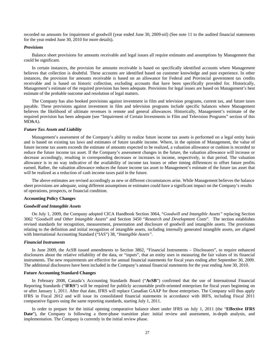recorded no amounts for impairment of goodwill (year ended June 30, 2009-nil) (See note 11 to the audited financial statements for the year ended June 30, 2010 for more details).

#### *Provisions*

Balance sheet provisions for amounts receivable and legal issues all require estimates and assumptions by Management that could be significant.

In certain instances, the provision for amounts receivable is based on specifically identified accounts where Management believes that collection is doubtful. These accounts are identified based on customer knowledge and past experience. In other instances, the provision for amounts receivable is based on an allowance for Federal and Provincial government tax credits receivable and is based on historic collection, excluding accounts that have been specifically provided for. Historically, Management's estimate of the required provision has been adequate. Provisions for legal issues are based on Management's best estimate of the probable outcome and resolution of legal matters.

The Company has also booked provisions against investment in film and television programs, current tax, and future taxes payable. These provisions against investment in film and television programs include specific balances where Management believes the likelihood of ultimate revenues is remote and general allowances. Historically, Management's estimate of the required provision has been adequate (see "Impairment of Certain Investments in Film and Television Programs" section of this MD&A).

#### *Future Tax Assets and Liability*

Management's assessment of the Company's ability to realize future income tax assets is performed on a legal entity basis and is based on existing tax laws and estimates of future taxable income. Where, in the opinion of Management, the value of future income tax assets exceeds the estimate of amounts expected to be realized, a valuation allowance or cushion is recorded to reduce the future income tax asset. If the Company's assessment changes in the future, the valuation allowance will increase or decrease accordingly, resulting in corresponding decreases or increases in income, respectively, in that period. The valuation allowance is in no way indicative of the availability of income tax losses or other timing differences to offset future profits earned. Rather, the valuation allowance reduces the future income tax asset to Management's estimate of the future tax asset that will be realized as a reduction of cash income taxes paid in the future.

The above estimates are revised accordingly as new or different circumstances arise. While Management believes the balance sheet provisions are adequate, using different assumptions or estimates could have a significant impact on the Company's results of operations, prospects, or financial condition.

#### **Accounting Policy Changes**

#### *Goodwill and Intangible Assets*

On July 1, 2009, the Company adopted CICA Handbook Section 3064, "*Goodwill and Intangible Assets"* replacing Section 3062 "*Goodwill and Other Intangible Assets*" and Section 3450 "*Research and Development Costs*". The section establishes revised standards for recognition, measurement, presentation and disclosure of goodwill and intangible assets. The provisions relating to the definition and initial recognition of intangible assets, including internally generated intangible assets, are aligned with International Accounting Standard ("IAS") 38, "*Intangible Assets".* 

#### *Financial Instruments*

In June 2009, the AcSB issued amendments to Section 3862, "Financial Instruments – Disclosures", to require enhanced disclosures about the relative reliability of the data, or "inputs", that an entity uses in measuring the fair values of its financial instruments. The new requirements are effective for annual financial statements for fiscal years ending after September 30, 2009. The additional disclosures have been included in the Company's annual financial statements for the year ending June 30, 2010.

## **Future Accounting Standard Changes**

In February 2008, Canada's Accounting Standards Board ("**AcSB**") confirmed that the use of International Financial Reporting Standards ("**IFRS**") will be required for publicly accountable profit-oriented enterprises for fiscal years beginning on or after January 1, 2011. After that date, IFRS will replace Canadian GAAP for those enterprises. The Company will thus apply IFRS in Fiscal 2012 and will issue its consolidated financial statements in accordance with IRFS, including Fiscal 2011 comparative figures using the same reporting standards, starting July 1, 2011.

In order to prepare for the initial opening comparative balance sheet under IFRS on July 1, 2011 (the "**Effective IFRS Date**"), the Company is following a three-phase transition plan: initial review and assessment, in-depth analysis, and implementation. The Company is currently in the initial review phase.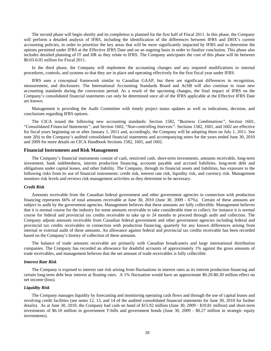The second phase will begin shortly and its completion is planned for the first half of Fiscal 2011. In this phase, the Company will perform a detailed analysis of IFRS, including the identification of the differences between IFRS and DHX's current accounting policies, in order to prioritize the key areas that will be more significantly impacted by IFRS and to determine the options permitted under IFRS at the Effective IFRS Date and on an ongoing basis in order to finalize conclusion. This phase also includes detailed planning of IT and HR as they relate to IFRS. The Company anticipates the cost of this phase will be between \$0.03-0.05 million for Fiscal 2011.

In the third phase, the Company will implement the accounting changes and any required modifications to internal procedures, controls, and systems so that they are in place and operating effectively for the first fiscal year under IFRS.

IFRS uses a conceptual framework similar to Canadian GAAP, but there are significant differences in recognition, measurement, and disclosures. The International Accounting Standards Board and AcSB will also continue to issue new accounting standards during the conversion period. As a result of the upcoming changes, the final impact of IFRS on the Company's consolidated financial statements can only be determined once all of the IFRS applicable at the Effective IFRS Date are known.

Management is providing the Audit Committee with timely project status updates as well as indications, decision, and conclusions regarding IFRS options.

The CICA issued the following new accounting standards: Section 1582, "*Business Combinations"*, Section 1601, "*Consolidated Financial Statements"*, and Section 1602, "*Non-controlling Interests".* Sections 1582, 1601, and 1602 are effective for fiscal years beginning on or after January 1, 2011 and, accordingly, the Company will be adopting them on July 1, 2011. See note 2(b) to the Company's audited consolidated financial statements and accompanying notes for the years ended June 30, 2010 and 2009 for more details on CICA Handbook Sections 1582, 1601, and 1602.

#### **Financial Instruments and Risk Management**

The Company's financial instruments consist of cash, restricted cash, short-term investments, amounts receivable, long-term investment, bank indebtedness, interim production financing, accounts payable and accrued liabilities, long-term debt and obligations under capital leases, and other liability. The Company, through its financial assets and liabilities, has exposure to the following risks from its use of financial instruments: credit risk, interest rate risk, liquidity risk, and currency risk. Management monitors risk levels and reviews risk management activities as they determine to be necessary.

#### *Credit Risk*

Amounts receivable from the Canadian federal government and other government agencies in connection with production financing represents 66% of total amounts receivable at June 30, 2010 (June 30, 2009 - 67%). Certain of these amounts are subject to audit by the government agencies. Management believes that these amounts are fully collectible. Management believes that it is normal course for the industry for some amounts receivable to take considerable time to collect; for instance it is normal course for federal and provincial tax credits receivable to take up to 24 months to proceed through audit and collection. The Company adjusts amounts receivable from Canadian federal government and other government agencies including federal and provincial tax credits receivables in connection with production financing, quarterly for any known differences arising from internal or external audit of these amounts. An allowance against federal and provincial tax credits receivable has been recorded based on the Company's history of collection of these amounts.

The balance of trade amounts receivable are primarily with Canadian broadcasters and large international distribution companies. The Company has recorded an allowance for doubtful accounts of approximately 1% against the gross amounts of trade receivables, and management believes that the net amount of trade receivables is fully collectible.

#### *Interest Rate Risk*

The Company is exposed to interest rate risk arising from fluctuations in interest rates as its interim production financing and certain long-term debt bear interest at floating rates. A 1% fluctuation would have an approximate \$0.20-\$0.30 million effect on net income (loss).

#### *Liquidity Risk*

The Company manages liquidity by forecasting and monitoring operating cash flows and through the use of capital leases and revolving credit facilities (see notes 12, 13, and 14 of the audited consolidated financial statements for June 30, 2010 for further details). As at June 30, 2010, the Company had cash on hand of \$15.92 million (June 30, 2009 - \$10.81 million) and short-term investments of \$6.10 million in government T-bills and government bonds (June 30, 2009 - \$0.27 million in strategic equity investments).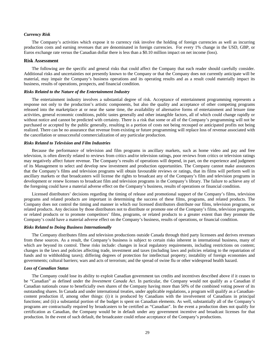## *Currency Risk*

The Company's activities which expose it to currency risk involve the holding of foreign currencies as well as incurring production costs and earning revenues that are denominated in foreign currencies. For every 1% change in the USD, GBP, or Euros exchange rate versus the Canadian dollar there is less than a \$0.10 million impact on net income (loss).

#### **Risk Assessment**

The following are the specific and general risks that could affect the Company that each reader should carefully consider. Additional risks and uncertainties not presently known to the Company or that the Company does not currently anticipate will be material, may impair the Company's business operations and its operating results and as a result could materially impact its business, results of operations, prospects, and financial condition.

## *Risks Related to the Nature of the Entertainment Industry*

The entertainment industry involves a substantial degree of risk. Acceptance of entertainment programming represents a response not only to the production's artistic components, but also the quality and acceptance of other competing programs released into the marketplace at or near the same time, the availability of alternative forms of entertainment and leisure time activities, general economic conditions, public tastes generally and other intangible factors, all of which could change rapidly or without notice and cannot be predicted with certainty. There is a risk that some or all of the Company's programming will not be purchased or accepted by the public generally, resulting in a portion of costs not being recouped or anticipated profits not being realized. There can be no assurance that revenue from existing or future programming will replace loss of revenue associated with the cancellation or unsuccessful commercialization of any particular production.

#### *Risks Related to Television and Film Industries*

Because the performance of television and film programs in ancillary markets, such as home video and pay and free television, is often directly related to reviews from critics and/or television ratings, poor reviews from critics or television ratings may negatively affect future revenue. The Company's results of operations will depend, in part, on the experience and judgment of its Management to select and develop new investment and production opportunities. The Company cannot make assurances that the Company's films and television programs will obtain favourable reviews or ratings, that its films will perform well in ancillary markets or that broadcasters will license the rights to broadcast any of the Company's film and television programs in development or renew licenses to broadcast film and television programs in the Company's library. The failure to achieve any of the foregoing could have a material adverse effect on the Company's business, results of operations or financial condition.

Licensed distributors' decisions regarding the timing of release and promotional support of the Company's films, television programs and related products are important in determining the success of these films, programs, and related products. The Company does not control the timing and manner in which our licensed distributors distribute our films, television programs, or related products. Any decision by those distributors not to distribute or promote one of the Company's films, television programs, or related products or to promote competitors' films, programs, or related products to a greater extent than they promote the Company's could have a material adverse effect on the Company's business, results of operations, or financial condition.

## *Risks Related to Doing Business Internationally*

The Company distributes films and television productions outside Canada through third party licensees and derives revenues from these sources. As a result, the Company's business is subject to certain risks inherent in international business, many of which are beyond its control. These risks include: changes in local regulatory requirements, including restrictions on content; changes in the laws and policies affecting trade, investment and taxes (including laws and policies relating to the repatriation of funds and to withholding taxes); differing degrees of protection for intellectual property; instability of foreign economies and governments; cultural barriers; wars and acts of terrorism; and the spread of swine flu or other widespread health hazard.

## *Loss of Canadian Status*

The Company could lose its ability to exploit Canadian government tax credits and incentives described above if it ceases to be "Canadian" as defined under the *Investment Canada Act*. In particular, the Company would not qualify as a Canadian if Canadian nationals cease to beneficially own shares of the Company having more than 50% of the combined voting power of its outstanding shares. In Canada and under international treaties, under applicable regulations, a program will qualify as a Canadiancontent production if, among other things: (i) it is produced by Canadians with the involvement of Canadians in principal functions; and (ii) a substantial portion of the budget is spent on Canadian elements. As well, substantially all of the Company's programs are contractually required by broadcasters to be certified as "Canadian". In the event a production does not qualify for certification as Canadian, the Company would be in default under any government incentive and broadcast licenses for that production. In the event of such default, the broadcaster could refuse acceptance of the Company's productions.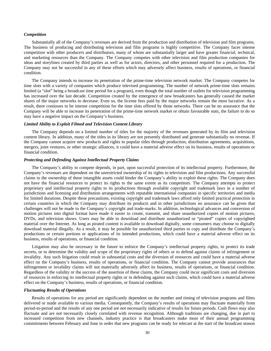#### *Competition*

Substantially all of the Company's revenues are derived from the production and distribution of television and film programs. The business of producing and distributing television and film programs is highly competitive. The Company faces intense competition with other producers and distributors, many of whom are substantially larger and have greater financial, technical, and marketing resources than the Company. The Company competes with other television and film production companies for ideas and storylines created by third parties as well as for actors, directors, and other personnel required for a production. The Company may not be successful in any of these efforts which may adversely affect business, results of operations, or financial condition.

The Company intends to increase its penetration of the prime-time television network market. The Company competes for time slots with a variety of companies which produce televised programming. The number of network prime-time slots remains limited (a "slot" being a broadcast time period for a program), even though the total number of outlets for television programming has increased over the last decade. Competition created by the emergence of new broadcasters has generally caused the market shares of the major networks to decrease. Even so, the license fees paid by the major networks remain the most lucrative. As a result, there continues to be intense competition for the time slots offered by those networks. There can be no assurance that the Company will be able to increase its penetration of the prime-time network market or obtain favourable stats, the failure to do so may have a negative impact on the Company's business.

## *Limited Ability to Exploit Filmed and Television Content Library*

The Company depends on a limited number of titles for the majority of the revenues generated by its film and television content library. In addition, many of the titles in its library are not presently distributed and generate substantially no revenue. If the Company cannot acquire new products and rights to popular titles through production, distribution agreements, acquisitions, mergers, joint ventures, or other strategic alliances, it could have a material adverse effect on its business, results of operations or financial condition.

## *Protecting and Defending Against Intellectual Property Claims*

The Company's ability to compete depends, in part, upon successful protection of its intellectual property. Furthermore, the Company's revenues are dependent on the unrestricted ownership of its rights to television and film productions. Any successful claims to the ownership of these intangible assets could hinder the Company's ability to exploit these rights. The Company does not have the financial resources to protect its rights to the same extent as its competitors. The Company attempts to protect proprietary and intellectual property rights to its productions through available copyright and trademark laws in a number of jurisdictions and licensing and distribution arrangements with reputable international companies in specific territories and media for limited durations. Despite these precautions, existing copyright and trademark laws afford only limited practical protection in certain countries in which the Company may distribute its products and in other jurisdictions no assurance can be given that challenges will not be made to the Company's copyright and trade-marks. In addition, technological advances and conversion of motion pictures into digital format have made it easier to create, transmit, and share unauthorized copies of motion pictures, DVDs, and television shows. Users may be able to download and distribute unauthorized or "pirated" copies of copyrighted material over the Internet. As long as pirated content is available to download digitally, some consumers may choose to digitally download material illegally. As a result, it may be possible for unauthorized third parties to copy and distribute the Company's productions or certain portions or applications of its intended productions, which could have a material adverse effect on its business, results of operations, or financial condition.

Litigation may also be necessary in the future to enforce the Company's intellectual property rights, to protect its trade secrets, or to determine the validity and scope of the proprietary rights of others or to defend against claims of infringement or invalidity. Any such litigation could result in substantial costs and the diversion of resources and could have a material adverse effect on the Company's business, results of operations, or financial condition. The Company cannot provide assurances that infringement or invalidity claims will not materially adversely affect its business, results of operations, or financial condition. Regardless of the validity or the success of the assertion of these claims, the Company could incur significant costs and diversion of resources in enforcing its intellectual property rights or in defending against such claims, which could have a material adverse effect on the Company's business, results of operations, or financial condition.

## *Fluctuating Results of Operations*

Results of operations for any period are significantly dependent on the number and timing of television programs and films delivered or made available to various media. Consequently, the Company's results of operations may fluctuate materially from period-to-period and the results of any one period are not necessarily indicative of results for future periods. Cash flows may also fluctuate and are not necessarily closely correlated with revenue recognition. Although traditions are changing, due in part to increased competition from new channels, industry practice is that broadcasters make most of their annual programming commitments between February and June in order that new programs can be ready for telecast at the start of the broadcast season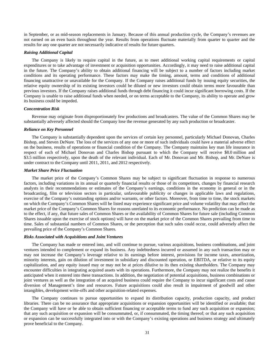in September, or as mid-season replacements in January. Because of this annual production cycle, the Company's revenues are not earned on an even basis throughout the year. Results from operations fluctuate materially from quarter to quarter and the results for any one quarter are not necessarily indicative of results for future quarters.

## *Raising Additional Capital*

The Company is likely to require capital in the future, as to meet additional working capital requirements or capital expenditures or to take advantage of investment or acquisition opportunities. Accordingly, it may need to raise additional capital in the future. The Company's ability to obtain additional financing will be subject to a number of factors including market conditions and its operating performance. These factors may make the timing, amount, terms and conditions of additional financing unattractive or unavailable for the Company. If the Company raises additional funds by issuing equity securities, the relative equity ownership of its existing investors could be diluted or new investors could obtain terms more favourable than previous investors. If the Company raises additional funds through debt financing it could incur significant borrowing costs. If the Company is unable to raise additional funds when needed, or on terms acceptable to the Company, its ability to operate and grow its business could be impeded.

### *Concentration Risk*

Revenue may originate from disproportionately few productions and broadcasters. The value of the Common Shares may be substantially adversely affected should the Company lose the revenue generated by any such production or broadcaster.

#### *Reliance on Key Personnel*

The Company is substantially dependent upon the services of certain key personnel, particularly Michael Donovan, Charles Bishop, and Steven DeNure. The loss of the services of any one or more of such individuals could have a material adverse effect on the business, results of operations or financial condition of the Company. The Company maintains key man life insurance in respect of each of Michael Donovan and Charles Bishop pursuant to which the Company will receive \$8.0 million and \$3.5 million respectively, upon the death of the relevant individual. Each of Mr. Donovan and Mr. Bishop, and Mr. DeNure is under contract to the Company until 2011, 2011, and 2012 respectively.

#### *Market Share Price Fluctuation*

The market price of the Company's Common Shares may be subject to significant fluctuation in response to numerous factors, including variations in its annual or quarterly financial results or those of its competitors, changes by financial research analysts in their recommendations or estimates of the Company's earnings, conditions in the economy in general or in the broadcasting, film or television sectors in particular, unfavourable publicity or changes in applicable laws and regulations, exercise of the Company's outstanding options and/or warrants, or other factors. Moreover, from time to time, the stock markets on which the Company's Common Shares will be listed may experience significant price and volume volatility that may affect the market price of the Company's Common Shares for reasons unrelated to its economic performance. No prediction can be made as to the effect, if any, that future sales of Common Shares or the availability of Common Shares for future sale (including Common Shares issuable upon the exercise of stock options) will have on the market price of the Common Shares prevailing from time to time. Sales of substantial numbers of Common Shares, or the perception that such sales could occur, could adversely affect the prevailing price of the Company's Common Shares.

## *Risks Associated with Acquisitions and Joint Ventures*

The Company has made or entered into, and will continue to pursue, various acquisitions, business combinations, and joint ventures intended to complement or expand its business. Any indebtedness incurred or assumed in any such transaction may or may not increase the Company's leverage relative to its earnings before interest, provisions for income taxes, amortization, minority interests, gain on dilution of investment in subsidiary and discounted operation, or EBITDA, or relative to its equity capitalization, and any equity issued may or may not be at prices dilutive to its then existing shareholders. The Company may encounter difficulties in integrating acquired assets with its operations. Furthermore, the Company may not realize the benefits it anticipated when it entered into these transactions. In addition, the negotiation of potential acquisitions, business combinations or joint ventures as well as the integration of an acquired business could require the Company to incur significant costs and cause diversion of Management's time and resources. Future acquisitions could also result in impairment of goodwill and other intangibles, development write-offs and other acquisition-related expenses.

The Company continues to pursue opportunities to expand its distribution capacity, production capacity, and product libraries. There can be no assurance that appropriate acquisitions or expansion opportunities will be identified or available; that the Company will have or be able to obtain sufficient financing or acceptable terms to fund any such acquisition or expansion; that any such acquisition or expansion will be consummated, or, if consummated, the timing thereof; or that any such acquisition or expansion can be successfully integrated into or with the Company's existing operations and business strategy and ultimately prove beneficial to the Company.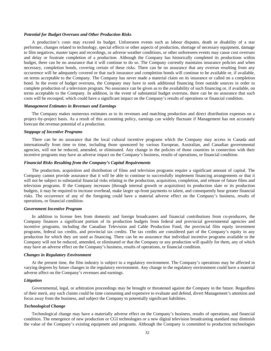#### *Potential for Budget Overruns and Other Production Risks*

A production's costs may exceed its budget. Unforeseen events such as labour disputes, death or disability of a star performer, changes related to technology, special effects or other aspects of production, shortage of necessary equipment, damage to film negatives, master tapes and recordings, or adverse weather conditions, or other unforeseen events may cause cost overruns and delay or frustrate completion of a production. Although the Company has historically completed its productions within budget, there can be no assurance that it will continue to do so. The Company currently maintains insurance policies and when necessary, completion bonds, covering certain of these risks. There can be no assurance that any overrun resulting from any occurrence will be adequately covered or that such insurance and completion bonds will continue to be available or, if available, on terms acceptable to the Company. The Company has never made a material claim on its insurance or called on a completion bond. In the event of budget overruns, the Company may have to seek additional financing from outside sources in order to complete production of a television program. No assurance can be given as to the availability of such financing or, if available, on terms acceptable to the Company. In addition, in the event of substantial budget overruns, there can be no assurance that such costs will be recouped, which could have a significant impact on the Company's results of operations or financial condition.

#### *Management Estimates in Revenues and Earnings*

The Company makes numerous estimates as to its revenues and matching production and direct distribution expenses on a project–by-project basis. As a result of this accounting policy, earnings can widely fluctuate if Management has not accurately forecast the revenue potential of a production.

## *Stoppage of Incentive Programs*

There can be no assurance that the local cultural incentive programs which the Company may access in Canada and internationally from time to time, including those sponsored by various European, Australian, and Canadian governmental agencies, will not be reduced, amended, or eliminated. Any change in the policies of those countries in connection with their incentive programs may have an adverse impact on the Company's business, results of operations, or financial condition.

## *Financial Risks Resulting from the Company's Capital Requirements*

The production, acquisition and distribution of films and television programs require a significant amount of capital. The Company cannot provide assurance that it will be able to continue to successfully implement financing arrangements or that it will not be subject to substantial financial risks relating to the production, acquisition, completion, and release of future films and television programs. If the Company increases (through internal growth or acquisition) its production slate or its production budgets, it may be required to increase overhead, make larger up-front payments to talent, and consequently bear greater financial risks. The occurrence of any of the foregoing could have a material adverse effect on the Company's business, results of operations, or financial condition.

#### *Government Incentive Program*

In addition to license fees from domestic and foreign broadcasters and financial contributions from co-producers, the Company finances a significant portion of its production budgets from federal and provincial governmental agencies and incentive programs, including the Canadian Television and Cable Production Fund, the provincial film equity investment programs, federal tax credits, and provincial tax credits. The tax credits are considered part of the Company's equity in any production for which they are used as financing. There can be no assurance that individual incentive programs available to the Company will not be reduced, amended, or eliminated or that the Company or any production will qualify for them, any of which may have an adverse effect on the Company's business, results of operations, or financial condition.

#### *Changes in Regulatory Environment*

At the present time, the film industry is subject to a regulatory environment. The Company's operations may be affected in varying degrees by future changes in the regulatory environment. Any change in the regulatory environment could have a material adverse affect on the Company's revenues and earnings.

## *Litigation*

Governmental, legal, or arbitration proceedings may be brought or threatened against the Company in the future. Regardless of their merit, any such claims could be time consuming and expensive to evaluate and defend, divert Management's attention and focus away from the business, and subject the Company to potentially significant liabilities.

### *Technological Change*

Technological change may have a materially adverse effect on the Company's business, results of operations, and financial condition. The emergence of new production or CGI technologies or a new digital television broadcasting standard may diminish the value of the Company's existing equipment and programs. Although the Company is committed to production technologies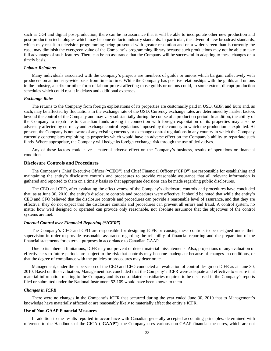such as CGI and digital post-production, there can be no assurance that it will be able to incorporate other new production and post-production technologies which may become de facto industry standards. In particular, the advent of new broadcast standards, which may result in television programming being presented with greater resolution and on a wider screen than is currently the case, may diminish the evergreen value of the Company's programming library because such productions may not be able to take full advantage of such features. There can be no assurance that the Company will be successful in adapting to these changes on a timely basis.

#### *Labour Relations*

Many individuals associated with the Company's projects are members of guilds or unions which bargain collectively with producers on an industry-wide basis from time to time. While the Company has positive relationships with the guilds and unions in the industry, a strike or other form of labour protest affecting those guilds or unions could, to some extent, disrupt production schedules which could result in delays and additional expenses.

## *Exchange Rates*

The returns to the Company from foreign exploitations of its properties are customarily paid in USD, GBP, and Euro and, as such, may be affected by fluctuations in the exchange rate of the USD. Currency exchange rates are determined by market factors beyond the control of the Company and may vary substantially during the course of a production period. In addition, the ability of the Company to repatriate to Canadian funds arising in connection with foreign exploitation of its properties may also be adversely affected by currency and exchange control regulations imposed by the country in which the production is exploited. At present, the Company is not aware of any existing currency or exchange control regulations in any country in which the Company currently contemplates exploiting its properties which would have an adverse effect on the Company's ability to repatriate such funds. Where appropriate, the Company will hedge its foreign exchange risk through the use of derivatives.

Any of these factors could have a material adverse effect on the Company's business, results of operations or financial condition.

# **Disclosure Controls and Procedures**

The Company's Chief Executive Officer (**"CEO"**) and Chief Financial Officer (**"CFO"**) are responsible for establishing and maintaining the entity's disclosure controls and procedures to provide reasonable assurance that all relevant information is gathered and reported to them on a timely basis so that appropriate decisions can be made regarding public disclosures.

The CEO and CFO, after evaluating the effectiveness of the Company's disclosure controls and procedures have concluded that, as at June 30, 2010, the entity's disclosure controls and procedures were effective. It should be noted that while the entity's CEO and CFO believed that the disclosure controls and procedures can provide a reasonable level of assurance, and that they are effective, they do not expect that the disclosure controls and procedures can prevent all errors and fraud. A control system, no matter how well designed or operated can provide only reasonable, not absolute assurance that the objectives of the control systems are met.

## *Internal Control over Financial Reporting ("ICFR")*

The Company's CEO and CFO are responsible for designing ICFR or causing these controls to be designed under their supervision in order to provide reasonable assurance regarding the reliability of financial reporting and the preparation of the financial statements for external purposes in accordance to Canadian GAAP.

Due to its inherent limitations, ICFR may not prevent or detect material misstatements. Also, projections of any evaluation of effectiveness to future periods are subject to the risk that controls may become inadequate because of changes in conditions, or that the degree of compliance with the policies or procedures may deteriorate.

Management, under the supervision of the CEO and CFO conducted an evaluation of control design on ICFR as at June 30, 2010. Based on this evaluation, Management has concluded that the Company's ICFR were adequate and effective to ensure that material information relating to the Company and its consolidated subsidiaries required to be disclosed in the Company's reports filed or submitted under the National Instrument 52-109 would have been known to them.

## *Changes in ICFR*

There were no changes in the Company's ICFR that occurred during the year ended June 30, 2010 that to Management's knowledge have materially affected or are reasonably likely to materially affect the entity's ICFR.

## **Use of Non-GAAP Financial Measures**

In addition to the results reported in accordance with Canadian generally accepted accounting principles, determined with reference to the Handbook of the CICA ("**GAAP**"), the Company uses various non-GAAP financial measures, which are not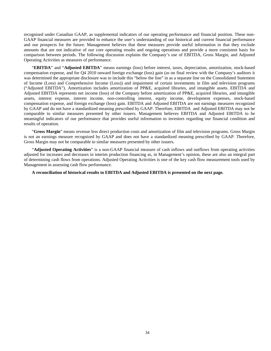recognized under Canadian GAAP, as supplemental indicators of our operating performance and financial position. These non-GAAP financial measures are provided to enhance the user's understanding of our historical and current financial performance and our prospects for the future. Management believes that these measures provide useful information in that they exclude amounts that are not indicative of our core operating results and ongoing operations and provide a more consistent basis for comparison between periods. The following discussion explains the Company's use of EBITDA, Gross Margin, and Adjusted Operating Activities as measures of performance.

"**EBITDA**" and "**Adjusted EBITDA**" means earnings (loss) before interest, taxes, depreciation, amortization, stock-based compensation expense, and for Q4 2010 onward foreign exchange (loss) gain (as on final review with the Company's auditors it was determined the appropriate disclosure was to include this "below the line" in as a separate line on the Consolidated Statement of Income (Loss) and Comprehensive Income (Loss)) and impairment of certain investments in film and television programs ("Adjusted EBITDA"). Amortization includes amortization of PP&E, acquired libraries, and intangible assets. EBITDA and Adjusted EBITDA represents net income (loss) of the Company before amortization of PP&E, acquired libraries, and intangible assets, interest expense, interest income, non-controlling interest, equity income, development expenses, stock-based compensation expense, and foreign exchange (loss) gain. EBITDA and Adjusted EBITDA are not earnings measures recognized by GAAP and do not have a standardized meaning prescribed by GAAP. Therefore, EBITDA and Adjusted EBITDA may not be comparable to similar measures presented by other issuers. Management believes EBITDA and Adjusted EBITDA to be meaningful indicators of our performance that provides useful information to investors regarding our financial condition and results of operation.

"**Gross Margin**" means revenue less direct production costs and amortization of film and television programs. Gross Margin is not an earnings measure recognized by GAAP and does not have a standardized meaning prescribed by GAAP. Therefore, Gross Margin may not be comparable to similar measures presented by other issuers.

"**Adjusted Operating Activities**" is a non-GAAP financial measure of cash inflows and outflows from operating activities adjusted for increases and decreases in interim production financing as, in Management's opinion, these are also an integral part of determining cash flows from operations. Adjusted Operating Activities is one of the key cash flow measurement tools used by Management in assessing cash flow performance.

## **A reconciliation of historical results to EBITDA and Adjusted EBITDA is presented on the next page.**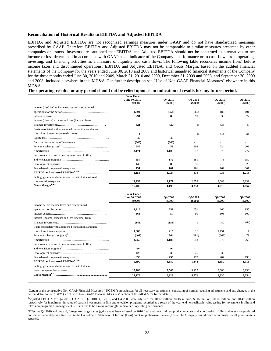## **Reconciliation of Historical Results to EBITDA and Adjusted EBITDA**

EBITDA and Adjusted EBITDA are not recognized earnings measures under GAAP and do not have standardized meanings prescribed by GAAP. Therefore EBITDA and Adjusted EBITDA may not be comparable to similar measures presented by other companies or issuers. Investors are cautioned that EBITDA and Adjusted EBITDA should not be construed as alternatives to net income or loss determined in accordance with GAAP as an indicator of the Company's performance or to cash flows from operating, investing, and financing activities as a measure of liquidity and cash flows. The following table reconciles income (loss) before income taxes and discontinued operations, EBITDA and Adjusted EBITDA, and Gross Margin, based on the audited financial statements of the Company for the years ended June 30, 2010 and 2009 and historical unaudited financial statements of the Company for the three months ended June 30, 2010 and 2009, March 31, 2010 and 2009, December 31, 2009 and 2008, and September 30, 2009 and 2008, included elsewhere in this MD&A. For further description see "Use of Non-GAAP Financial Measures" elsewhere in this MD&A.

|  |  |  | The operating results for any period should not be relied upon as an indication of results for any future period. |  |  |
|--|--|--|-------------------------------------------------------------------------------------------------------------------|--|--|
|  |  |  |                                                                                                                   |  |  |

|                                                         | <b>Year Ended</b>              |                                 |                          |                   |                          |
|---------------------------------------------------------|--------------------------------|---------------------------------|--------------------------|-------------------|--------------------------|
|                                                         | June 30, 2010<br>$($ \$000 $)$ | <b>Q4-2010</b><br>$($ \$000 $)$ | O3-2010<br>$($ \$000 $)$ | O2-2010<br>(5000) | O1-2010<br>$($ \$000 $)$ |
| Income (loss) before income taxes and discontinued      |                                |                                 |                          |                   |                          |
|                                                         | (1,304)                        | (554)                           | (666)                    | (185)             | 101                      |
|                                                         | 291                            | 89                              | 90                       | 35                | 77                       |
| Interest (income) expense and loss (income) from        |                                |                                 |                          |                   |                          |
|                                                         | (21)                           | (29)                            | (6)                      | (33)              | 47                       |
| Costs associated with abandoned transactions and non-   |                                |                                 |                          |                   |                          |
|                                                         | 3                              |                                 | (5)                      | (15)              | 23                       |
|                                                         | 40                             | 40                              |                          |                   |                          |
|                                                         | (348)                          | (348)                           |                          |                   |                          |
|                                                         | 587                            | 53                              | 102                      | 224               | 208                      |
|                                                         | 3,171                          | 1,105                           | 617                      | 672               | 777                      |
| Impairment in value of certain investment in film       |                                |                                 |                          |                   |                          |
|                                                         | 557                            | 172                             | 151                      | 75                | 159                      |
|                                                         | 449                            | 389                             | 35                       | ٠                 | 25                       |
|                                                         | 731                            | 107                             | 161                      | 162               | 301                      |
|                                                         | 4,156                          | 1,024                           | 479                      | 935               | 1,718                    |
| Selling, general and administrative, net of stock-based |                                |                                 |                          |                   |                          |
|                                                         | 12,253                         | 3.172                           | 2.859                    | 3.083             | 3,139                    |
|                                                         | 16.409                         | 4,196                           | 3,338                    | 4,018             | 4,857                    |

|                                                       | <b>Year Ended</b><br>June 30, 2009<br>$($ \$000 $)$ | O4-2009<br>$($ \$000 $)$ | <b>Q3-2009</b><br>$($ \$000 $)$ | O <sub>2</sub> -2009<br>(\$000) | <b>Q1-2009</b><br>$($ \$000 $)$ |
|-------------------------------------------------------|-----------------------------------------------------|--------------------------|---------------------------------|---------------------------------|---------------------------------|
| Income before income taxes and discontinued           |                                                     |                          |                                 |                                 |                                 |
|                                                       | 3,218                                               | 752                      | 651                             | 860                             | 955                             |
|                                                       | 363                                                 | 57                       | 91                              | 106                             | 109                             |
| Interest (income) expense and loss (income) from      |                                                     |                          |                                 |                                 |                                 |
|                                                       | (148)                                               | (153)                    | 9                               | 80                              | (84)                            |
| Costs associated with abandoned transactions and non- |                                                     |                          |                                 |                                 |                                 |
|                                                       | 1,389                                               | 215                      | 16                              | 1,151                           |                                 |
|                                                       | (409)                                               | 364                      | (481)                           | (363)                           | 71                              |
|                                                       | 3,059                                               | 1,183                    | 643                             | 573                             | 660                             |
| Impairment in value of certain investment in film     |                                                     |                          |                                 |                                 |                                 |
|                                                       | 494                                                 | 494                      |                                 |                                 |                                 |
|                                                       | 425                                                 | 333                      | 45                              | 39                              | 8                               |
|                                                       | 999                                                 | 435                      | 170                             | 204                             | 190                             |
|                                                       | 9,390                                               | 3,680                    | 1,144                           | 2,650                           | 1,916                           |
| Selling, general and administrative, net of stock-    |                                                     |                          |                                 |                                 |                                 |
|                                                       | 12,788                                              | 2,543                    | 3,427                           | 3.680                           | 3,138                           |
|                                                       | 22,178                                              | 6,223                    | 4,571                           | 6,330                           | 5,054                           |

<sup>1</sup>Certain of the comparative Non-GAAP Financial Measures ("NGFM") are adjusted for all necessary adjustments, consisting of normal recurring adjustments and any changes in the current definition of NGFM (see "Use of Non-GAAP Financial Measures" section of this MD&A for further details).

2 Adjusted EBITDA for Q4 2010, Q3 2010, Q2 2010, Q1 2010, and Q4 2009 were adjusted for \$0.17 million, \$0.15 million, \$0.07 million, \$0.16 million, and \$0.49 million respectively for impairment in value of certain investments in film and television programs recorded as a result of the year end net realizable value testing for investment in film and television programs as management believes this to be a more meaningful indicator of operating performance.

<sup>3</sup>Effective Q4 2010 and onward, foreign exchange losses (gains) have been adjusted on 2010 final audit out of direct production costs and amortization of film and television produced and shown separately as a line item in the Consolidated Statement of Income (Loss) and Comprehensive Income (Loss). The Company has adjusted accordingly for all prior quarters reported.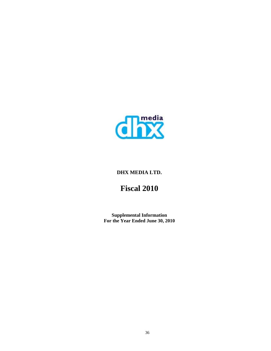

# **DHX MEDIA LTD.**

# **Fiscal 2010**

**Supplemental Information For the Year Ended June 30, 2010**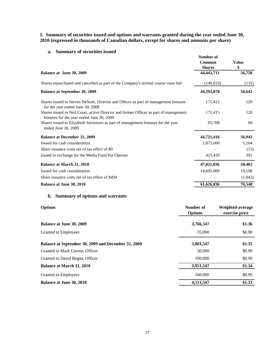**1. Summary of securities issued and options and warrants granted during the year ended June 30, 2010 (expressed in thousands of Canadian dollars, except for shares and amounts per share)** 

# **a. Summary of securities issued**

|                                                                                                                                   | <b>Number of</b><br>Common<br><b>Shares</b> | <b>Value</b><br>\$ |
|-----------------------------------------------------------------------------------------------------------------------------------|---------------------------------------------|--------------------|
| Balance at June 30, 2009                                                                                                          | 44, 442, 711                                | 56,758             |
| Shares repurchased and cancelled as part of the Company's normal course issue bid                                                 | (149, 833)                                  | (116)              |
| <b>Balance at September 30, 2009</b>                                                                                              | 44,292,878                                  | 56,642             |
| Shares issued to Steven DeNure, Director and Officer as part of management bonuses<br>for the year ended June 30, 2009            | 171,415                                     | 120                |
| Shares issued to Neil Court, active Director and former Officer as part of management<br>bonuses for the year ended June 30, 2009 | 171,415                                     | 120                |
| Shares issued to Elizabeth Stevenson as part of management bonuses for the year<br>ended June 30, 2009                            | 85,708                                      | 60                 |
| <b>Balance at December 31, 2009</b>                                                                                               | 44,721,416                                  | 56,942             |
| Issued for cash consideration                                                                                                     | 1,875,000                                   | 1,164              |
| Share issuance costs net of tax effect of \$9                                                                                     |                                             | (15)               |
| Issued in exchange for the Media Fund Put Options                                                                                 | 425,420                                     | 391                |
| <b>Balance at March 31, 2010</b>                                                                                                  | 47,021,836                                  | 58,482             |
| Issued for cash consideration                                                                                                     | 14,605,000                                  | 19,108             |
| Share issuance costs net of tax effect of \$494                                                                                   |                                             | (1,042)            |
| Balance at June 30, 2010                                                                                                          | 61,626,836                                  | 76,548             |

# **b. Summary of options and warrants**

| <b>Options</b>                                      | Number of<br><b>Options</b> | Weighted-average<br>exercise price |
|-----------------------------------------------------|-----------------------------|------------------------------------|
| <b>Balance at June 30, 2009</b>                     | 3,766,547                   | \$1.36                             |
| Granted to Employees                                | 35,000                      | \$0.90                             |
| Balance at September 30, 2009 and December 31, 2009 | 3,801,547                   | \$1.35                             |
| Granted to Mark Gosine, Officer                     | 50,000                      | \$0.99                             |
| Granted to David Regan, Officer                     | 100,000                     | \$0.99                             |
| <b>Balance at March 31, 2010</b>                    | 3,951,547                   | \$1.34                             |
| Granted to Employees                                | 160,000                     | \$0.99                             |
| <b>Balance at June 30, 2010</b>                     | 4,111,547                   | \$1.33                             |